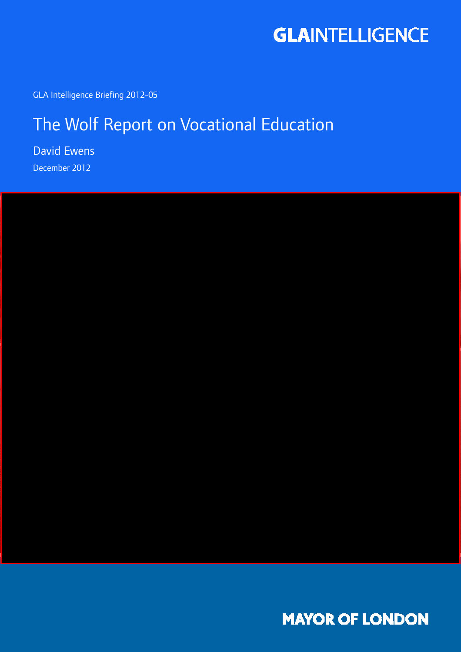

GLA Intelligence Briefing 2012-05

## The Wolf Report on Vocational Education

David Ewens December 2012



**MAYOR OF LONDON**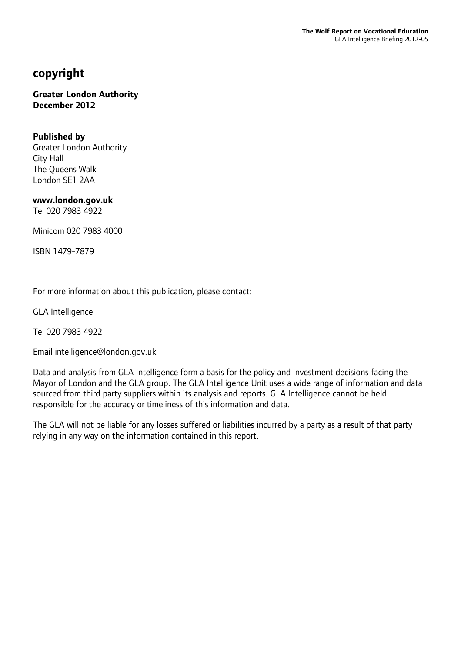### **copyright**

#### **Greater London Authority December 2012**

#### **Published by**

Greater London Authority City Hall The Queens Walk London SE1 2AA

**www.london.gov.uk** 

Tel 020 7983 4922

Minicom 020 7983 4000

ISBN 1479-7879

For more information about this publication, please contact:

GLA Intelligence

Tel 020 7983 4922

Email intelligence@london.gov.uk

Data and analysis from GLA Intelligence form a basis for the policy and investment decisions facing the Mayor of London and the GLA group. The GLA Intelligence Unit uses a wide range of information and data sourced from third party suppliers within its analysis and reports. GLA Intelligence cannot be held responsible for the accuracy or timeliness of this information and data.

The GLA will not be liable for any losses suffered or liabilities incurred by a party as a result of that party relying in any way on the information contained in this report.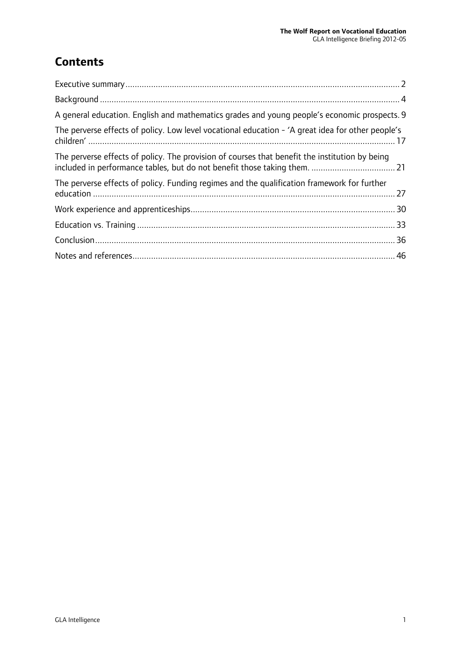## **Contents**

| A general education. English and mathematics grades and young people's economic prospects. 9      |
|---------------------------------------------------------------------------------------------------|
| The perverse effects of policy. Low level vocational education - 'A great idea for other people's |
| The perverse effects of policy. The provision of courses that benefit the institution by being    |
| The perverse effects of policy. Funding regimes and the qualification framework for further       |
|                                                                                                   |
|                                                                                                   |
|                                                                                                   |
|                                                                                                   |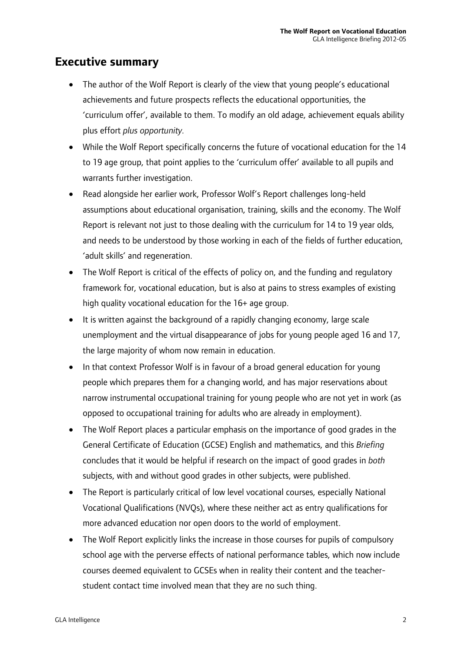### **Executive summary**

- The author of the Wolf Report is clearly of the view that young people's educational achievements and future prospects reflects the educational opportunities, the 'curriculum offer', available to them. To modify an old adage, achievement equals ability plus effort *plus opportunity.*
- While the Wolf Report specifically concerns the future of vocational education for the 14 to 19 age group, that point applies to the 'curriculum offer' available to all pupils and warrants further investigation.
- Read alongside her earlier work, Professor Wolf's Report challenges long-held assumptions about educational organisation, training, skills and the economy. The Wolf Report is relevant not just to those dealing with the curriculum for 14 to 19 year olds, and needs to be understood by those working in each of the fields of further education, 'adult skills' and regeneration.
- The Wolf Report is critical of the effects of policy on, and the funding and regulatory framework for, vocational education, but is also at pains to stress examples of existing high quality vocational education for the 16+ age group.
- It is written against the background of a rapidly changing economy, large scale unemployment and the virtual disappearance of jobs for young people aged 16 and 17, the large majority of whom now remain in education.
- In that context Professor Wolf is in favour of a broad general education for young people which prepares them for a changing world, and has major reservations about narrow instrumental occupational training for young people who are not yet in work (as opposed to occupational training for adults who are already in employment).
- The Wolf Report places a particular emphasis on the importance of good grades in the General Certificate of Education (GCSE) English and mathematics, and this *Briefing* concludes that it would be helpful if research on the impact of good grades in *both*  subjects, with and without good grades in other subjects, were published.
- The Report is particularly critical of low level vocational courses, especially National Vocational Qualifications (NVQs), where these neither act as entry qualifications for more advanced education nor open doors to the world of employment.
- The Wolf Report explicitly links the increase in those courses for pupils of compulsory school age with the perverse effects of national performance tables, which now include courses deemed equivalent to GCSEs when in reality their content and the teacherstudent contact time involved mean that they are no such thing.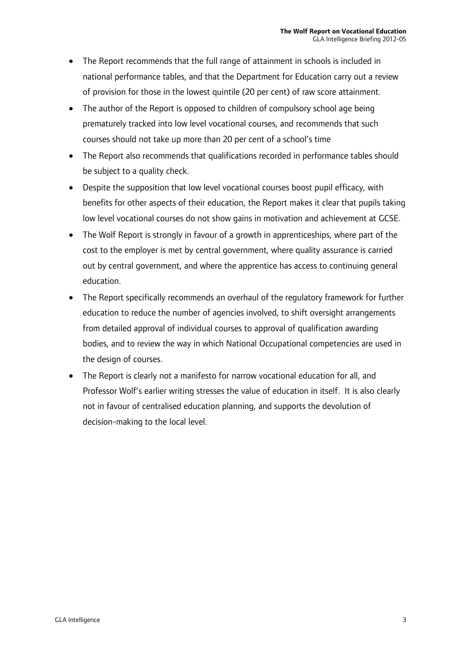- The Report recommends that the full range of attainment in schools is included in national performance tables, and that the Department for Education carry out a review of provision for those in the lowest quintile (20 per cent) of raw score attainment.
- The author of the Report is opposed to children of compulsory school age being prematurely tracked into low level vocational courses, and recommends that such courses should not take up more than 20 per cent of a school's time
- The Report also recommends that qualifications recorded in performance tables should be subject to a quality check.
- Despite the supposition that low level vocational courses boost pupil efficacy, with benefits for other aspects of their education, the Report makes it clear that pupils taking low level vocational courses do not show gains in motivation and achievement at GCSE.
- The Wolf Report is strongly in favour of a growth in apprenticeships, where part of the cost to the employer is met by central government, where quality assurance is carried out by central government, and where the apprentice has access to continuing general education.
- The Report specifically recommends an overhaul of the regulatory framework for further education to reduce the number of agencies involved, to shift oversight arrangements from detailed approval of individual courses to approval of qualification awarding bodies, and to review the way in which National Occupational competencies are used in the design of courses.
- The Report is clearly not a manifesto for narrow vocational education for all, and Professor Wolf's earlier writing stresses the value of education in itself. It is also clearly not in favour of centralised education planning, and supports the devolution of decision-making to the local level.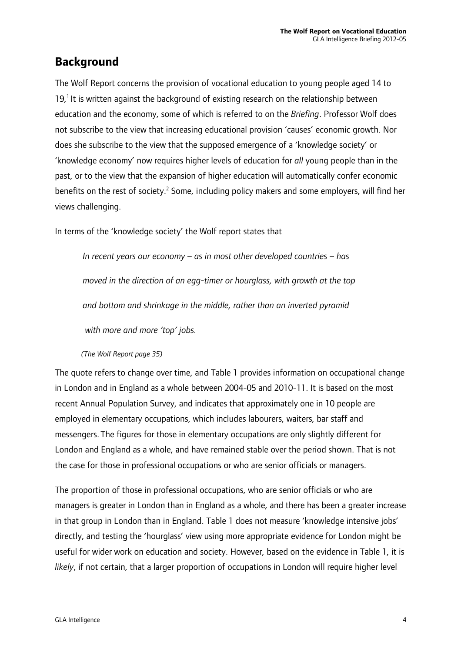### **Background**

The Wolf Report concerns the provision of vocational education to young people aged 14 to  $19<sup>1</sup>$  It is written against the background of existing research on the relationship between education and the economy, some of which is referred to on the *Briefing*. Professor Wolf does not subscribe to the view that increasing educational provision 'causes' economic growth. Nor does she subscribe to the view that the supposed emergence of a 'knowledge society' or 'knowledge economy' now requires higher levels of education for *all* young people than in the past, or to the view that the expansion of higher education will automatically confer economic benefits on the rest of society.<sup>2</sup> Some, including policy makers and some employers, will find her views challenging.

In terms of the 'knowledge society' the Wolf report states that

*In recent years our economy – as in most other developed countries – has moved in the direction of an egg-timer or hourglass, with growth at the top and bottom and shrinkage in the middle, rather than an inverted pyramid with more and more 'top' jobs.* 

#### *(The Wolf Report page 35)*

The quote refers to change over time, and Table 1 provides information on occupational change in London and in England as a whole between 2004-05 and 2010-11. It is based on the most recent Annual Population Survey, and indicates that approximately one in 10 people are employed in elementary occupations, which includes labourers, waiters, bar staff and messengers. The figures for those in elementary occupations are only slightly different for London and England as a whole, and have remained stable over the period shown. That is not the case for those in professional occupations or who are senior officials or managers.

The proportion of those in professional occupations, who are senior officials or who are managers is greater in London than in England as a whole, and there has been a greater increase in that group in London than in England. Table 1 does not measure 'knowledge intensive jobs' directly, and testing the 'hourglass' view using more appropriate evidence for London might be useful for wider work on education and society. However, based on the evidence in Table 1, it is *likely*, if not certain, that a larger proportion of occupations in London will require higher level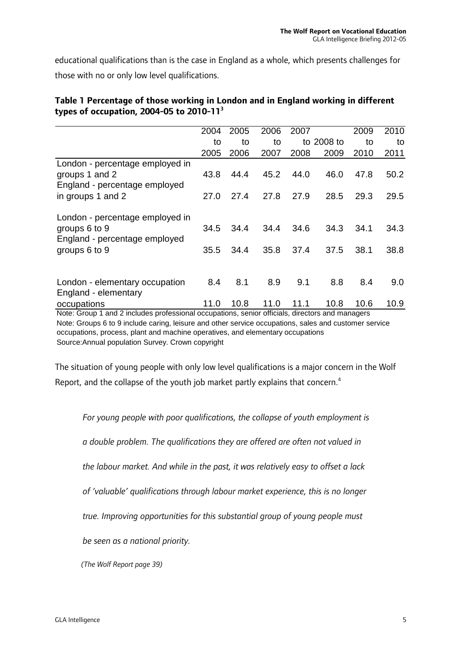educational qualifications than is the case in England as a whole, which presents challenges for those with no or only low level qualifications.

|                                                                                                         | 2004         | 2005         | 2006         | 2007         |              | 2009         | 2010         |
|---------------------------------------------------------------------------------------------------------|--------------|--------------|--------------|--------------|--------------|--------------|--------------|
|                                                                                                         | to           | to           | to           |              | to 2008 to   | to           | to           |
|                                                                                                         | 2005         | 2006         | 2007         | 2008         | 2009         | 2010         | 2011         |
| London - percentage employed in<br>groups 1 and 2<br>England - percentage employed<br>in groups 1 and 2 | 43.8         | 44.4         | 45.2         | 44.0         | 46.0         | 47.8         | 50.2         |
|                                                                                                         | 27.0         | 27.4         | 27.8         | 27.9         | 28.5         | 29.3         | 29.5         |
| London - percentage employed in<br>groups 6 to 9<br>England - percentage employed<br>groups 6 to 9      | 34.5<br>35.5 | 34.4<br>34.4 | 34.4<br>35.8 | 34.6<br>37.4 | 34.3<br>37.5 | 34.1<br>38.1 | 34.3<br>38.8 |
| London - elementary occupation<br>England - elementary                                                  | 8.4          | 8.1          | 8.9          | 9.1          | 8.8          | 8.4          | 9.0          |
| occupations                                                                                             | 11.0         | 10.8         | 11.0         | 11.1         | 10.8         | 10.6         | 10.9         |
| Note: Group 1 and 2 includes professional occupations, senior officials, directors and managers         |              |              |              |              |              |              |              |

#### **Table 1 Percentage of those working in London and in England working in different types of occupation, 2004-05 to 2010-113**

Source:Annual population Survey. Crown copyright Note: Groups 6 to 9 include caring, leisure and other service occupations, sales and customer service occupations, process, plant and machine operatives, and elementary occupations

The situation of young people with only low level qualifications is a major concern in the Wolf Report, and the collapse of the youth job market partly explains that concern.<sup>4</sup>

*For young people with poor qualifications, the collapse of youth employment is* 

*a double problem. The qualifications they are offered are often not valued in* 

*the labour market. And while in the past, it was relatively easy to offset a lack* 

*of 'valuable' qualifications through labour market experience, this is no longer* 

*true. Improving opportunities for this substantial group of young people must* 

*be seen as a national priority.*

*(The Wolf Report page 39)*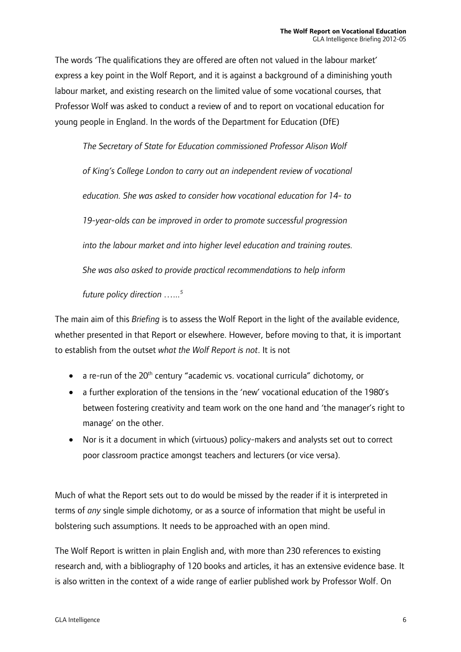The words 'The qualifications they are offered are often not valued in the labour market' express a key point in the Wolf Report, and it is against a background of a diminishing youth labour market, and existing research on the limited value of some vocational courses, that Professor Wolf was asked to conduct a review of and to report on vocational education for young people in England. In the words of the Department for Education (DfE)

*The Secretary of State for Education commissioned Professor Alison Wolf of King's College London to carry out an independent review of vocational education. She was asked to consider how vocational education for 14- to 19-year-olds can be improved in order to promote successful progression into the labour market and into higher level education and training routes. She was also asked to provide practical recommendations to help inform* 

*future policy direction …...5*

The main aim of this *Briefing* is to assess the Wolf Report in the light of the available evidence, whether presented in that Report or elsewhere. However, before moving to that, it is important to establish from the outset *what the Wolf Report is not*. It is not

- $\bullet$  a re-run of the 20<sup>th</sup> century "academic vs. vocational curricula" dichotomy, or
- a further exploration of the tensions in the 'new' vocational education of the 1980's between fostering creativity and team work on the one hand and 'the manager's right to manage' on the other.
- Nor is it a document in which (virtuous) policy-makers and analysts set out to correct poor classroom practice amongst teachers and lecturers (or vice versa).

Much of what the Report sets out to do would be missed by the reader if it is interpreted in terms of *any* single simple dichotomy, or as a source of information that might be useful in bolstering such assumptions. It needs to be approached with an open mind.

The Wolf Report is written in plain English and, with more than 230 references to existing research and, with a bibliography of 120 books and articles, it has an extensive evidence base. It is also written in the context of a wide range of earlier published work by Professor Wolf. On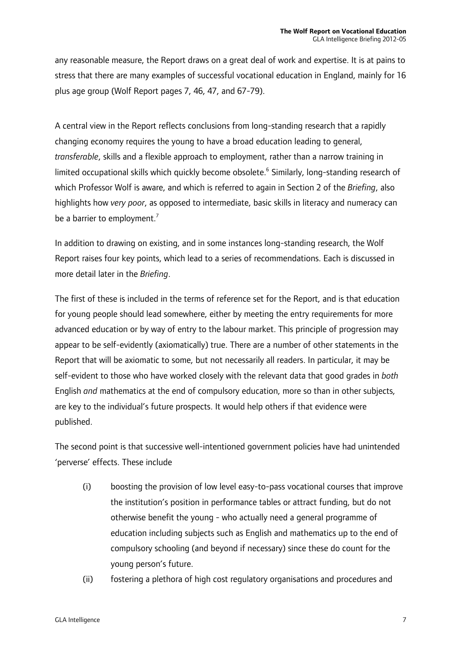any reasonable measure, the Report draws on a great deal of work and expertise. It is at pains to stress that there are many examples of successful vocational education in England, mainly for 16 plus age group (Wolf Report pages 7, 46, 47, and 67-79).

A central view in the Report reflects conclusions from long-standing research that a rapidly changing economy requires the young to have a broad education leading to general, *transferable*, skills and a flexible approach to employment, rather than a narrow training in limited occupational skills which quickly become obsolete.<sup>6</sup> Similarly, long-standing research of which Professor Wolf is aware, and which is referred to again in Section 2 of the *Briefing*, also highlights how *very poor*, as opposed to intermediate, basic skills in literacy and numeracy can be a barrier to employment.<sup>7</sup>

In addition to drawing on existing, and in some instances long-standing research, the Wolf Report raises four key points, which lead to a series of recommendations. Each is discussed in more detail later in the *Briefing*.

The first of these is included in the terms of reference set for the Report, and is that education for young people should lead somewhere, either by meeting the entry requirements for more advanced education or by way of entry to the labour market. This principle of progression may appear to be self-evidently (axiomatically) true. There are a number of other statements in the Report that will be axiomatic to some, but not necessarily all readers. In particular, it may be self-evident to those who have worked closely with the relevant data that good grades in *both* English *and* mathematics at the end of compulsory education, more so than in other subjects, are key to the individual's future prospects. It would help others if that evidence were published.

The second point is that successive well-intentioned government policies have had unintended 'perverse' effects. These include

- (i) boosting the provision of low level easy-to-pass vocational courses that improve the institution's position in performance tables or attract funding, but do not otherwise benefit the young - who actually need a general programme of education including subjects such as English and mathematics up to the end of compulsory schooling (and beyond if necessary) since these do count for the young person's future.
- (ii) fostering a plethora of high cost regulatory organisations and procedures and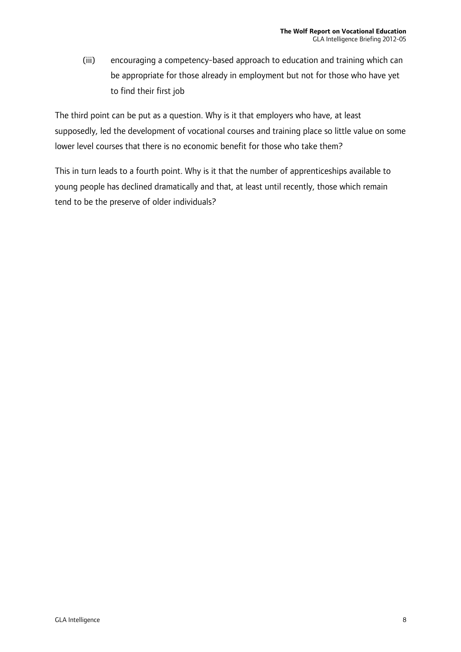(iii) encouraging a competency-based approach to education and training which can be appropriate for those already in employment but not for those who have yet to find their first job

The third point can be put as a question. Why is it that employers who have, at least supposedly, led the development of vocational courses and training place so little value on some lower level courses that there is no economic benefit for those who take them?

This in turn leads to a fourth point. Why is it that the number of apprenticeships available to young people has declined dramatically and that, at least until recently, those which remain tend to be the preserve of older individuals?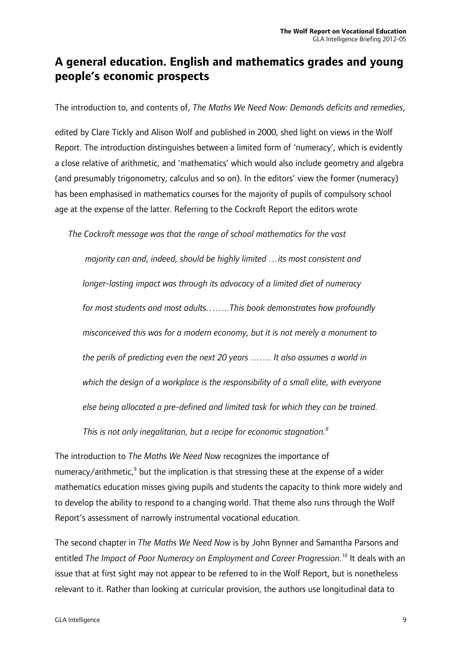### **A general education. English and mathematics grades and young people's economic prospects**

The introduction to, and contents of, *The Maths We Need Now: Demands deficits and remedies*,

edited by Clare Tickly and Alison Wolf and published in 2000, shed light on views in the Wolf Report. The introduction distinguishes between a limited form of 'numeracy', which is evidently a close relative of arithmetic, and 'mathematics' which would also include geometry and algebra (and presumably trigonometry, calculus and so on). In the editors' view the former (numeracy) has been emphasised in mathematics courses for the majority of pupils of compulsory school age at the expense of the latter. Referring to the Cockroft Report the editors wrote

*The Cockroft message was that the range of school mathematics for the vast* 

 *majority can and, indeed, should be highly limited …its most consistent and longer-lasting impact was through its advocacy of a limited diet of numeracy for most students and most adults……..This book demonstrates how profoundly misconceived this was for a modern economy, but it is not merely a monument to the perils of predicting even the next 20 years ……. It also assumes a world in which the design of a workplace is the responsibility of a small elite, with everyone else being allocated a pre-defined and limited task for which they can be trained.* 

This is not only inegalitarian, but a recipe for economic stagnation. $^8$ 

The introduction to *The Maths We Need Now* recognizes the importance of numeracy/arithmetic, $9$  but the implication is that stressing these at the expense of a wider mathematics education misses giving pupils and students the capacity to think more widely and to develop the ability to respond to a changing world. That theme also runs through the Wolf Report's assessment of narrowly instrumental vocational education.

The second chapter in *The Maths We Need Now* is by John Bynner and Samantha Parsons and entitled *The Impact of Poor Numeracy on Employment and Career Progression.*10 It deals with an issue that at first sight may not appear to be referred to in the Wolf Report, but is nonetheless relevant to it. Rather than looking at curricular provision, the authors use longitudinal data to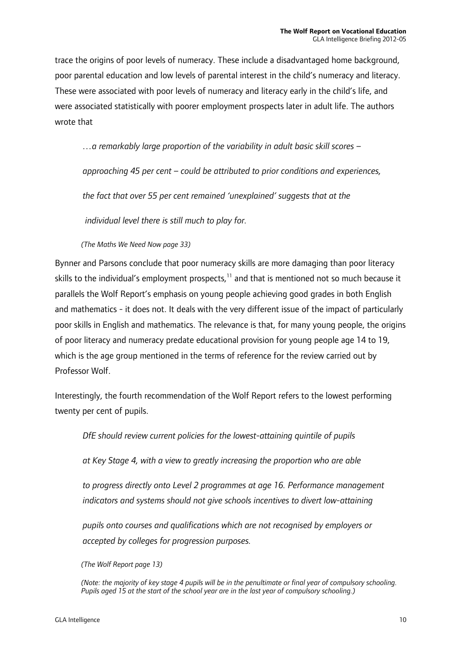trace the origins of poor levels of numeracy. These include a disadvantaged home background, poor parental education and low levels of parental interest in the child's numeracy and literacy. These were associated with poor levels of numeracy and literacy early in the child's life, and were associated statistically with poorer employment prospects later in adult life. The authors wrote that

*…a remarkably large proportion of the variability in adult basic skill scores –* 

*approaching 45 per cent – could be attributed to prior conditions and experiences,* 

*the fact that over 55 per cent remained 'unexplained' suggests that at the* 

 *individual level there is still much to play for.* 

 *(The Maths We Need Now page 33)* 

Bynner and Parsons conclude that poor numeracy skills are more damaging than poor literacy skills to the individual's employment prospects, $11$  and that is mentioned not so much because it parallels the Wolf Report's emphasis on young people achieving good grades in both English and mathematics - it does not. It deals with the very different issue of the impact of particularly poor skills in English and mathematics. The relevance is that, for many young people, the origins of poor literacy and numeracy predate educational provision for young people age 14 to 19, which is the age group mentioned in the terms of reference for the review carried out by Professor Wolf.

Interestingly, the fourth recommendation of the Wolf Report refers to the lowest performing twenty per cent of pupils.

*DfE should review current policies for the lowest-attaining quintile of pupils* 

*at Key Stage 4, with a view to greatly increasing the proportion who are able* 

*to progress directly onto Level 2 programmes at age 16. Performance management indicators and systems should not give schools incentives to divert low-attaining* 

*pupils onto courses and qualifications which are not recognised by employers or accepted by colleges for progression purposes.* 

*(The Wolf Report page 13)* 

*<sup>(</sup>Note: the majority of key stage 4 pupils will be in the penultimate or final year of compulsory schooling. Pupils aged 15 at the start of the school year are in the last year of compulsory schooling.)*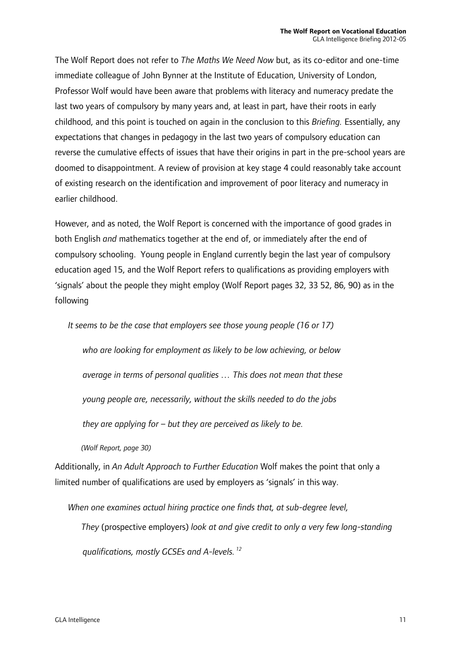The Wolf Report does not refer to *The Maths We Need Now* but, as its co-editor and one-time immediate colleague of John Bynner at the Institute of Education, University of London, Professor Wolf would have been aware that problems with literacy and numeracy predate the last two years of compulsory by many years and, at least in part, have their roots in early childhood, and this point is touched on again in the conclusion to this *Briefing.* Essentially, any expectations that changes in pedagogy in the last two years of compulsory education can reverse the cumulative effects of issues that have their origins in part in the pre-school years are doomed to disappointment. A review of provision at key stage 4 could reasonably take account of existing research on the identification and improvement of poor literacy and numeracy in earlier childhood.

However, and as noted, the Wolf Report is concerned with the importance of good grades in both English *and* mathematics together at the end of, or immediately after the end of compulsory schooling. Young people in England currently begin the last year of compulsory education aged 15, and the Wolf Report refers to qualifications as providing employers with 'signals' about the people they might employ (Wolf Report pages 32, 33 52, 86, 90) as in the following

*It seems to be the case that employers see those young people (16 or 17)* 

*who are looking for employment as likely to be low achieving, or below average in terms of personal qualities … This does not mean that these* 

*young people are, necessarily, without the skills needed to do the jobs* 

*they are applying for – but they are perceived as likely to be.* 

*(Wolf Report, page 30)* 

Additionally, in *An Adult Approach to Further Education* Wolf makes the point that only a limited number of qualifications are used by employers as 'signals' in this way.

*When one examines actual hiring practice one finds that, at sub-degree level, They* (prospective employers) *look at and give credit to only a very few long-standing qualifications, mostly GCSEs and A-levels. 12*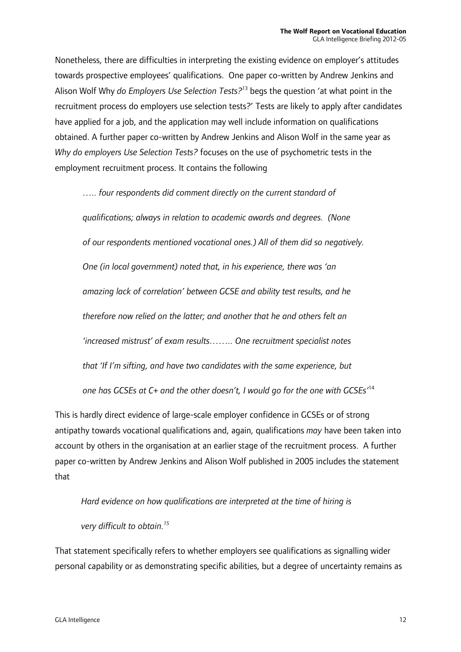Nonetheless, there are difficulties in interpreting the existing evidence on employer's attitudes towards prospective employees' qualifications. One paper co-written by Andrew Jenkins and Alison Wolf Why *do Employers Use Selection Tests?*13 begs the question 'at what point in the recruitment process do employers use selection tests?' Tests are likely to apply after candidates have applied for a job, and the application may well include information on qualifications obtained. A further paper co-written by Andrew Jenkins and Alison Wolf in the same year as *Why do employers Use Selection Tests?* focuses on the use of psychometric tests in the employment recruitment process. It contains the following

*….. four respondents did comment directly on the current standard of qualifications; always in relation to academic awards and degrees. (None of our respondents mentioned vocational ones.) All of them did so negatively. One (in local government) noted that, in his experience, there was 'an amazing lack of correlation' between GCSE and ability test results, and he therefore now relied on the latter; and another that he and others felt an 'increased mistrust' of exam results…….. One recruitment specialist notes that 'If I'm sifting, and have two candidates with the same experience, but one has GCSEs at C+ and the other doesn't, I would go for the one with GCSEs'*<sup>14</sup>

This is hardly direct evidence of large-scale employer confidence in GCSEs or of strong antipathy towards vocational qualifications and, again, qualifications *may* have been taken into account by others in the organisation at an earlier stage of the recruitment process. A further paper co-written by Andrew Jenkins and Alison Wolf published in 2005 includes the statement that

*Hard evidence on how qualifications are interpreted at the time of hiring is* 

*very difficult to obtain.15*

That statement specifically refers to whether employers see qualifications as signalling wider personal capability or as demonstrating specific abilities, but a degree of uncertainty remains as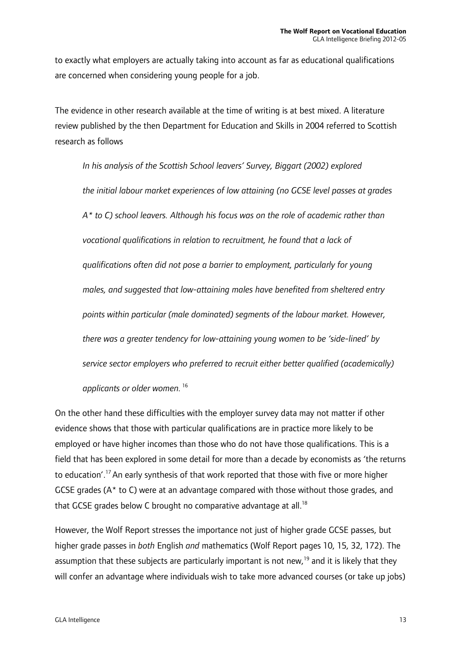to exactly what employers are actually taking into account as far as educational qualifications are concerned when considering young people for a job.

The evidence in other research available at the time of writing is at best mixed. A literature review published by the then Department for Education and Skills in 2004 referred to Scottish research as follows

*In his analysis of the Scottish School leavers' Survey, Biggart (2002) explored the initial labour market experiences of low attaining (no GCSE level passes at grades A\* to C) school leavers. Although his focus was on the role of academic rather than vocational qualifications in relation to recruitment, he found that a lack of qualifications often did not pose a barrier to employment, particularly for young males, and suggested that low-attaining males have benefited from sheltered entry points within particular (male dominated) segments of the labour market. However, there was a greater tendency for low-attaining young women to be 'side-lined' by service sector employers who preferred to recruit either better qualified (academically) applicants or older women.*<sup>16</sup>

On the other hand these difficulties with the employer survey data may not matter if other evidence shows that those with particular qualifications are in practice more likely to be employed or have higher incomes than those who do not have those qualifications. This is a field that has been explored in some detail for more than a decade by economists as 'the returns to education'.17 An early synthesis of that work reported that those with five or more higher GCSE grades (A\* to C) were at an advantage compared with those without those grades, and that GCSE grades below C brought no comparative advantage at all.<sup>18</sup>

However, the Wolf Report stresses the importance not just of higher grade GCSE passes, but higher grade passes in *both* English *and* mathematics (Wolf Report pages 10, 15, 32, 172). The assumption that these subjects are particularly important is not new,<sup>19</sup> and it is likely that they will confer an advantage where individuals wish to take more advanced courses (or take up jobs)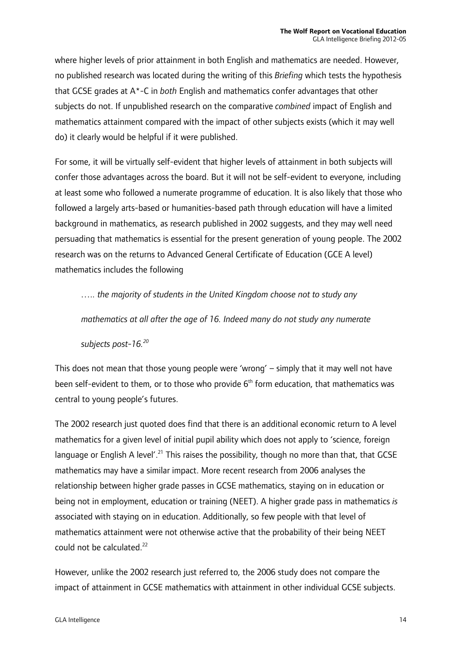where higher levels of prior attainment in both English and mathematics are needed. However, no published research was located during the writing of this *Briefing* which tests the hypothesis that GCSE grades at A\*-C in *both* English and mathematics confer advantages that other subjects do not. If unpublished research on the comparative *combined* impact of English and mathematics attainment compared with the impact of other subjects exists (which it may well do) it clearly would be helpful if it were published.

For some, it will be virtually self-evident that higher levels of attainment in both subjects will confer those advantages across the board. But it will not be self-evident to everyone, including at least some who followed a numerate programme of education. It is also likely that those who followed a largely arts-based or humanities-based path through education will have a limited background in mathematics, as research published in 2002 suggests, and they may well need persuading that mathematics is essential for the present generation of young people. The 2002 research was on the returns to Advanced General Certificate of Education (GCE A level) mathematics includes the following

 *….. the majority of students in the United Kingdom choose not to study any mathematics at all after the age of 16. Indeed many do not study any numerate subjects post-16.20*

This does not mean that those young people were 'wrong' – simply that it may well not have been self-evident to them, or to those who provide  $6<sup>th</sup>$  form education, that mathematics was central to young people's futures.

The 2002 research just quoted does find that there is an additional economic return to A level mathematics for a given level of initial pupil ability which does not apply to 'science, foreign language or English A level'.<sup>21</sup> This raises the possibility, though no more than that, that GCSE mathematics may have a similar impact. More recent research from 2006 analyses the relationship between higher grade passes in GCSE mathematics, staying on in education or being not in employment, education or training (NEET). A higher grade pass in mathematics *is* associated with staying on in education. Additionally, so few people with that level of mathematics attainment were not otherwise active that the probability of their being NEET could not be calculated.<sup>22</sup>

However, unlike the 2002 research just referred to, the 2006 study does not compare the impact of attainment in GCSE mathematics with attainment in other individual GCSE subjects.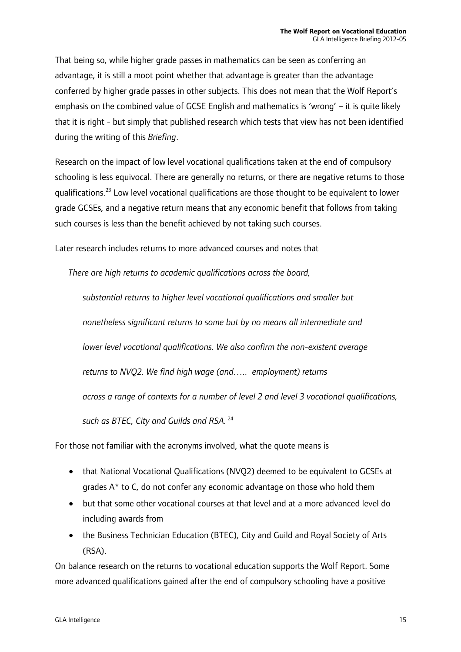That being so, while higher grade passes in mathematics can be seen as conferring an advantage, it is still a moot point whether that advantage is greater than the advantage conferred by higher grade passes in other subjects. This does not mean that the Wolf Report's emphasis on the combined value of GCSE English and mathematics is 'wrong' – it is quite likely that it is right - but simply that published research which tests that view has not been identified during the writing of this *Briefing*.

Research on the impact of low level vocational qualifications taken at the end of compulsory schooling is less equivocal. There are generally no returns, or there are negative returns to those qualifications.23 Low level vocational qualifications are those thought to be equivalent to lower grade GCSEs, and a negative return means that any economic benefit that follows from taking such courses is less than the benefit achieved by not taking such courses.

Later research includes returns to more advanced courses and notes that

*There are high returns to academic qualifications across the board,* 

*substantial returns to higher level vocational qualifications and smaller but nonetheless significant returns to some but by no means all intermediate and lower level vocational qualifications. We also confirm the non-existent average returns to NVQ2. We find high wage (and….. employment) returns across a range of contexts for a number of level 2 and level 3 vocational qualifications, such as BTEC, City and Guilds and RSA.*<sup>24</sup>

For those not familiar with the acronyms involved, what the quote means is

- that National Vocational Qualifications (NVQ2) deemed to be equivalent to GCSEs at grades A\* to C, do not confer any economic advantage on those who hold them
- but that some other vocational courses at that level and at a more advanced level do including awards from
- the Business Technician Education (BTEC), City and Guild and Royal Society of Arts (RSA).

On balance research on the returns to vocational education supports the Wolf Report. Some more advanced qualifications gained after the end of compulsory schooling have a positive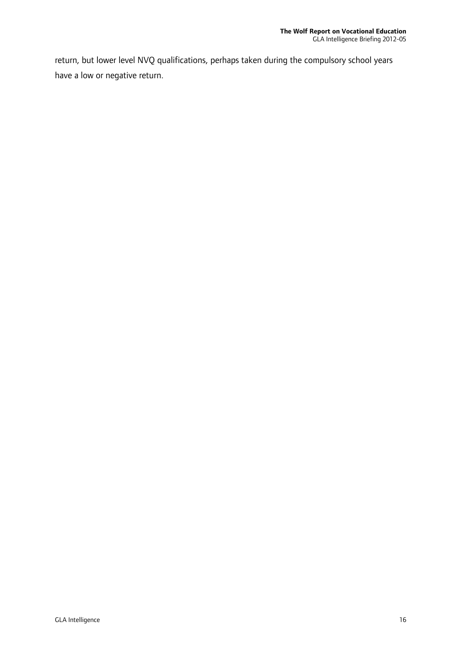return, but lower level NVQ qualifications, perhaps taken during the compulsory school years have a low or negative return.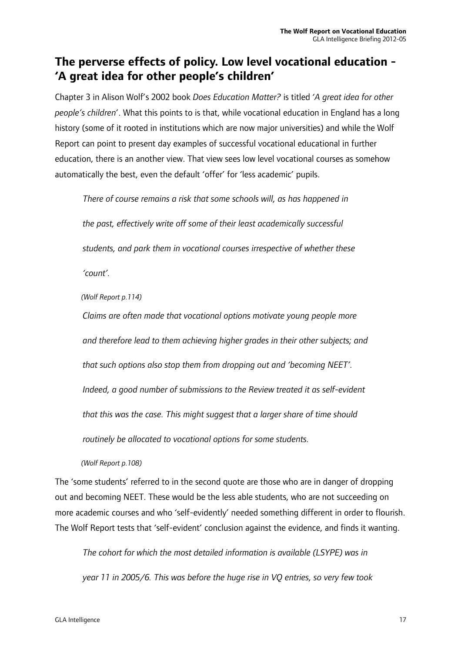### **The perverse effects of policy. Low level vocational education - 'A great idea for other people's children'**

Chapter 3 in Alison Wolf's 2002 book *Does Education Matter?* is titled '*A great idea for other people's children*'. What this points to is that, while vocational education in England has a long history (some of it rooted in institutions which are now major universities) and while the Wolf Report can point to present day examples of successful vocational educational in further education, there is an another view. That view sees low level vocational courses as somehow automatically the best, even the default 'offer' for 'less academic' pupils.

*There of course remains a risk that some schools will, as has happened in* 

*the past, effectively write off some of their least academically successful* 

*students, and park them in vocational courses irrespective of whether these* 

*'count'.* 

*(Wolf Report p.114)* 

*Claims are often made that vocational options motivate young people more* 

*and therefore lead to them achieving higher grades in their other subjects; and* 

*that such options also stop them from dropping out and 'becoming NEET'.* 

*Indeed, a good number of submissions to the Review treated it as self-evident* 

*that this was the case. This might suggest that a larger share of time should* 

*routinely be allocated to vocational options for some students.* 

*(Wolf Report p.108)* 

The 'some students' referred to in the second quote are those who are in danger of dropping out and becoming NEET. These would be the less able students, who are not succeeding on more academic courses and who 'self-evidently' needed something different in order to flourish. The Wolf Report tests that 'self-evident' conclusion against the evidence, and finds it wanting.

*The cohort for which the most detailed information is available (LSYPE) was in year 11 in 2005/6. This was before the huge rise in VQ entries, so very few took*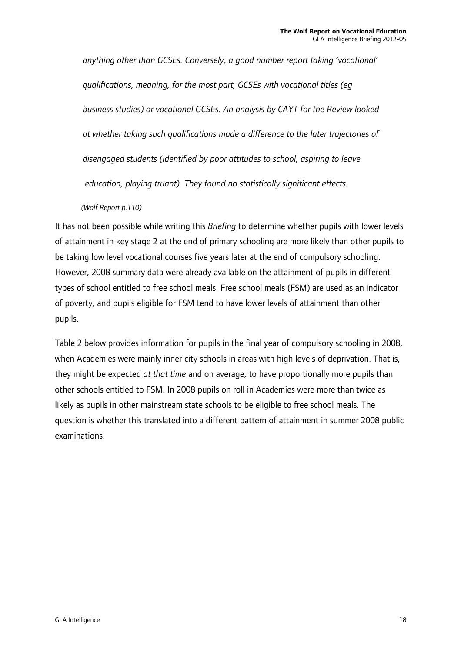*anything other than GCSEs. Conversely, a good number report taking 'vocational' qualifications, meaning, for the most part, GCSEs with vocational titles (eg business studies) or vocational GCSEs. An analysis by CAYT for the Review looked at whether taking such qualifications made a difference to the later trajectories of disengaged students (identified by poor attitudes to school, aspiring to leave education, playing truant). They found no statistically significant effects.* 

*(Wolf Report p.110)* 

It has not been possible while writing this *Briefing* to determine whether pupils with lower levels of attainment in key stage 2 at the end of primary schooling are more likely than other pupils to be taking low level vocational courses five years later at the end of compulsory schooling. However, 2008 summary data were already available on the attainment of pupils in different types of school entitled to free school meals. Free school meals (FSM) are used as an indicator of poverty, and pupils eligible for FSM tend to have lower levels of attainment than other pupils.

Table 2 below provides information for pupils in the final year of compulsory schooling in 2008, when Academies were mainly inner city schools in areas with high levels of deprivation. That is, they might be expected *at that time* and on average, to have proportionally more pupils than other schools entitled to FSM. In 2008 pupils on roll in Academies were more than twice as likely as pupils in other mainstream state schools to be eligible to free school meals. The question is whether this translated into a different pattern of attainment in summer 2008 public examinations.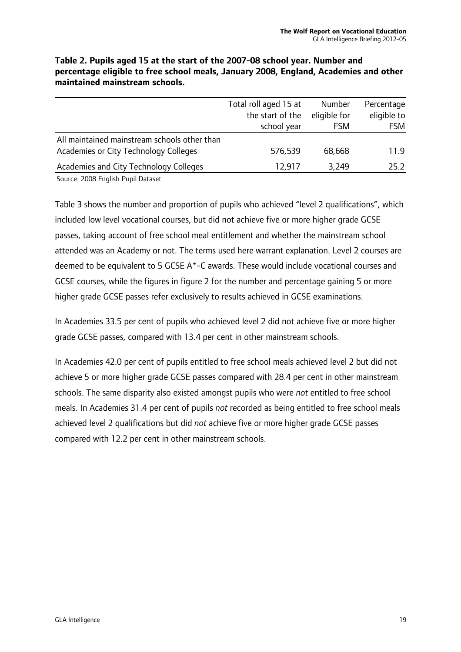|                                              | Total roll aged 15 at | Number       | Percentage  |
|----------------------------------------------|-----------------------|--------------|-------------|
|                                              | the start of the      | eligible for | eligible to |
|                                              | school year           | <b>FSM</b>   | <b>FSM</b>  |
| All maintained mainstream schools other than |                       |              |             |
| Academies or City Technology Colleges        | 576,539               | 68,668       | 11.9        |
| Academies and City Technology Colleges       | 12,917                | 3,249        | 25.2        |
|                                              |                       |              |             |

**Table 2. Pupils aged 15 at the start of the 2007-08 school year. Number and percentage eligible to free school meals, January 2008, England, Academies and other maintained mainstream schools.** 

Source: 2008 English Pupil Dataset

Table 3 shows the number and proportion of pupils who achieved "level 2 qualifications", which included low level vocational courses, but did not achieve five or more higher grade GCSE passes, taking account of free school meal entitlement and whether the mainstream school attended was an Academy or not. The terms used here warrant explanation. Level 2 courses are deemed to be equivalent to 5 GCSE A\*-C awards. These would include vocational courses and GCSE courses, while the figures in figure 2 for the number and percentage gaining 5 or more higher grade GCSE passes refer exclusively to results achieved in GCSE examinations.

In Academies 33.5 per cent of pupils who achieved level 2 did not achieve five or more higher grade GCSE passes, compared with 13.4 per cent in other mainstream schools.

In Academies 42.0 per cent of pupils entitled to free school meals achieved level 2 but did not achieve 5 or more higher grade GCSE passes compared with 28.4 per cent in other mainstream schools. The same disparity also existed amongst pupils who were *not* entitled to free school meals. In Academies 31.4 per cent of pupils *not* recorded as being entitled to free school meals achieved level 2 qualifications but did *not* achieve five or more higher grade GCSE passes compared with 12.2 per cent in other mainstream schools.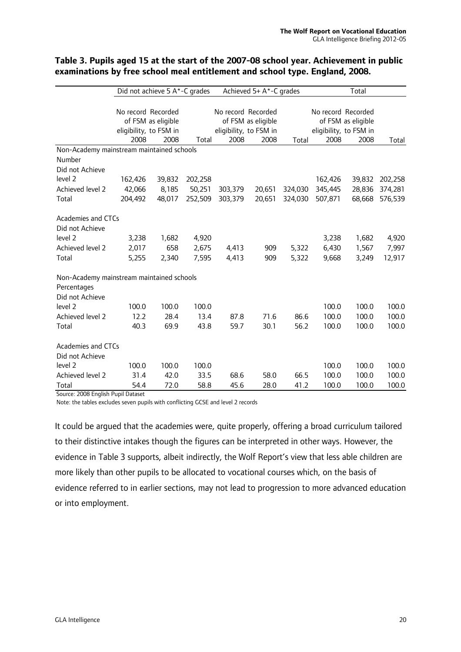|                                           | Did not achieve 5 A*-C grades |                    | Achieved 5+ A*-C grades |                    |                    | Total                  |                    |                    |         |
|-------------------------------------------|-------------------------------|--------------------|-------------------------|--------------------|--------------------|------------------------|--------------------|--------------------|---------|
|                                           |                               |                    |                         |                    |                    |                        |                    |                    |         |
|                                           | No record Recorded            |                    |                         | No record Recorded |                    |                        | No record Recorded |                    |         |
|                                           |                               | of FSM as eligible |                         |                    | of FSM as eligible |                        |                    | of FSM as eligible |         |
|                                           | eligibility, to FSM in        |                    | eligibility, to FSM in  |                    |                    | eligibility, to FSM in |                    |                    |         |
|                                           | 2008                          | 2008               | Total                   | 2008               | 2008               | Total                  | 2008               | 2008               | Total   |
| Non-Academy mainstream maintained schools |                               |                    |                         |                    |                    |                        |                    |                    |         |
| Number                                    |                               |                    |                         |                    |                    |                        |                    |                    |         |
| Did not Achieve                           |                               |                    |                         |                    |                    |                        |                    |                    |         |
| level 2                                   | 162,426                       | 39,832             | 202,258                 |                    |                    |                        | 162,426            | 39,832             | 202,258 |
| Achieved level 2                          | 42,066                        | 8,185              | 50,251                  | 303,379            | 20,651             | 324,030                | 345,445            | 28,836             | 374,281 |
| Total                                     | 204,492                       | 48,017             | 252,509                 | 303,379            | 20,651             | 324,030                | 507,871            | 68,668             | 576,539 |
| <b>Academies and CTCs</b>                 |                               |                    |                         |                    |                    |                        |                    |                    |         |
| Did not Achieve                           |                               |                    |                         |                    |                    |                        |                    |                    |         |
| level 2                                   | 3,238                         | 1,682              | 4,920                   |                    |                    |                        | 3,238              | 1,682              | 4,920   |
| Achieved level 2                          | 2,017                         | 658                | 2,675                   | 4,413              | 909                | 5,322                  | 6,430              | 1,567              | 7,997   |
| Total                                     | 5,255                         | 2,340              | 7,595                   | 4,413              | 909                | 5,322                  | 9,668              | 3,249              | 12,917  |
| Non-Academy mainstream maintained schools |                               |                    |                         |                    |                    |                        |                    |                    |         |
| Percentages                               |                               |                    |                         |                    |                    |                        |                    |                    |         |
| Did not Achieve                           |                               |                    |                         |                    |                    |                        |                    |                    |         |
| level 2                                   | 100.0                         | 100.0              | 100.0                   |                    |                    |                        | 100.0              | 100.0              | 100.0   |
| Achieved level 2                          | 12.2                          | 28.4               | 13.4                    | 87.8               | 71.6               | 86.6                   | 100.0              | 100.0              | 100.0   |
| Total                                     | 40.3                          | 69.9               | 43.8                    | 59.7               | 30.1               | 56.2                   | 100.0              | 100.0              | 100.0   |
| Academies and CTCs                        |                               |                    |                         |                    |                    |                        |                    |                    |         |
| Did not Achieve                           |                               |                    |                         |                    |                    |                        |                    |                    |         |
| level 2                                   | 100.0                         | 100.0              | 100.0                   |                    |                    |                        | 100.0              | 100.0              | 100.0   |
| Achieved level 2                          | 31.4                          | 42.0               | 33.5                    | 68.6               | 58.0               | 66.5                   | 100.0              | 100.0              | 100.0   |
| Total                                     | 54.4                          | 72.0               | 58.8                    | 45.6               | 28.0               | 41.2                   | 100.0              | 100.0              | 100.0   |

#### **Table 3. Pupils aged 15 at the start of the 2007-08 school year. Achievement in public examinations by free school meal entitlement and school type. England, 2008.**

Source: 2008 English Pupil Dataset

Note: the tables excludes seven pupils with conflicting GCSE and level 2 records

It could be argued that the academies were, quite properly, offering a broad curriculum tailored to their distinctive intakes though the figures can be interpreted in other ways. However, the evidence in Table 3 supports, albeit indirectly, the Wolf Report's view that less able children are more likely than other pupils to be allocated to vocational courses which, on the basis of evidence referred to in earlier sections, may not lead to progression to more advanced education or into employment.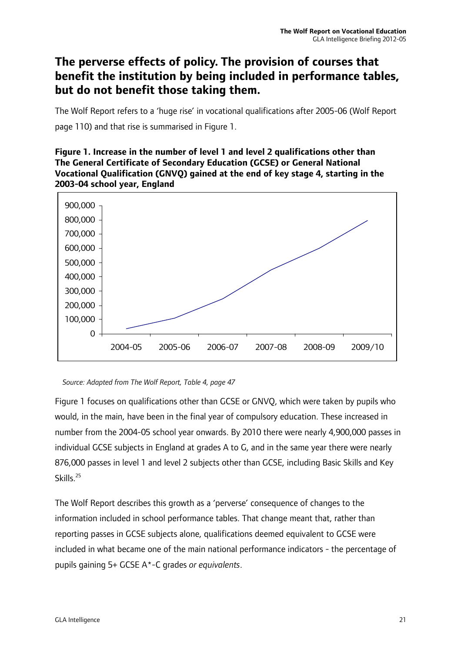### **The perverse effects of policy. The provision of courses that benefit the institution by being included in performance tables, but do not benefit those taking them.**

The Wolf Report refers to a 'huge rise' in vocational qualifications after 2005-06 (Wolf Report page 110) and that rise is summarised in Figure 1.

#### **Figure 1. Increase in the number of level 1 and level 2 qualifications other than The General Certificate of Secondary Education (GCSE) or General National Vocational Qualification (GNVQ) gained at the end of key stage 4, starting in the 2003-04 school year, England**



 *Source: Adapted from The Wolf Report, Table 4, page 47* 

Figure 1 focuses on qualifications other than GCSE or GNVQ, which were taken by pupils who would, in the main, have been in the final year of compulsory education. These increased in number from the 2004-05 school year onwards. By 2010 there were nearly 4,900,000 passes in individual GCSE subjects in England at grades A to G, and in the same year there were nearly 876,000 passes in level 1 and level 2 subjects other than GCSE, including Basic Skills and Key Skills.<sup>25</sup>

The Wolf Report describes this growth as a 'perverse' consequence of changes to the information included in school performance tables. That change meant that, rather than reporting passes in GCSE subjects alone, qualifications deemed equivalent to GCSE were included in what became one of the main national performance indicators - the percentage of pupils gaining 5+ GCSE A\*-C grades *or equivalents*.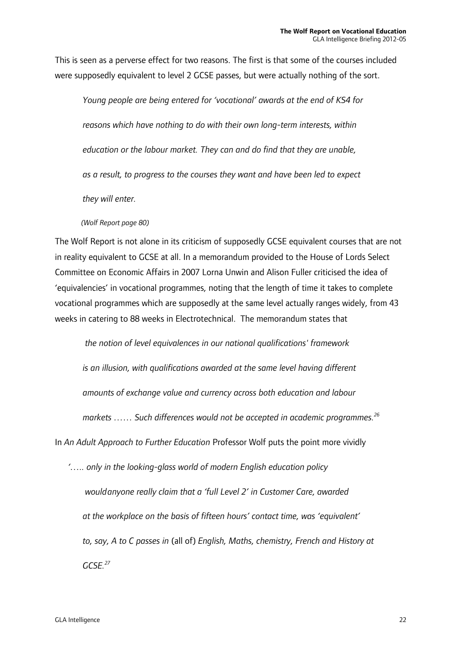This is seen as a perverse effect for two reasons. The first is that some of the courses included were supposedly equivalent to level 2 GCSE passes, but were actually nothing of the sort.

*Young people are being entered for 'vocational' awards at the end of KS4 for reasons which have nothing to do with their own long-term interests, within education or the labour market. They can and do find that they are unable, as a result, to progress to the courses they want and have been led to expect they will enter.* 

#### *(Wolf Report page 80)*

The Wolf Report is not alone in its criticism of supposedly GCSE equivalent courses that are not in reality equivalent to GCSE at all. In a memorandum provided to the House of Lords Select Committee on Economic Affairs in 2007 Lorna Unwin and Alison Fuller criticised the idea of 'equivalencies' in vocational programmes, noting that the length of time it takes to complete vocational programmes which are supposedly at the same level actually ranges widely, from 43 weeks in catering to 88 weeks in Electrotechnical. The memorandum states that

 *the notion of level equivalences in our national qualifications' framework* 

*is an illusion, with qualifications awarded at the same level having different* 

*amounts of exchange value and currency across both education and labour* 

markets …… Such differences would not be accepted in academic programmes.<sup>26</sup>

In *An Adult Approach to Further Education* Professor Wolf puts the point more vividly

 *'….. only in the looking-glass world of modern English education policy would anyone really claim that a 'full Level 2' in Customer Care, awarded at the workplace on the basis of fifteen hours' contact time, was 'equivalent' to, say, A to C passes in* (all of) *English, Maths, chemistry, French and History at GCSE.27*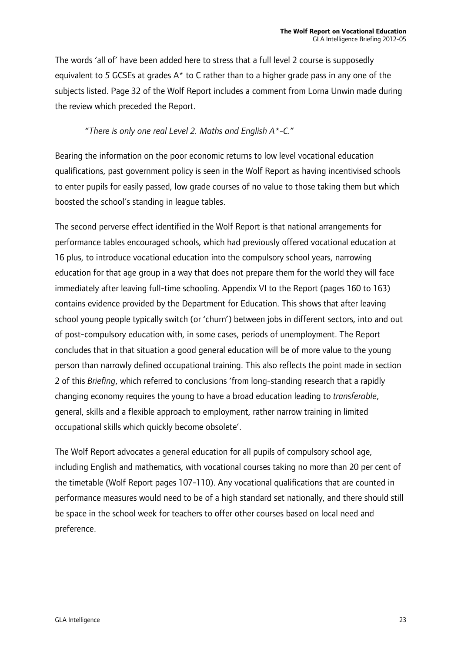The words 'all of' have been added here to stress that a full level 2 course is supposedly equivalent to *5* GCSEs at grades A\* to C rather than to a higher grade pass in any one of the subjects listed. Page 32 of the Wolf Report includes a comment from Lorna Unwin made during the review which preceded the Report.

#### "*There is only one real Level 2. Maths and English A\*-C.*"

Bearing the information on the poor economic returns to low level vocational education qualifications, past government policy is seen in the Wolf Report as having incentivised schools to enter pupils for easily passed, low grade courses of no value to those taking them but which boosted the school's standing in league tables.

The second perverse effect identified in the Wolf Report is that national arrangements for performance tables encouraged schools, which had previously offered vocational education at 16 plus, to introduce vocational education into the compulsory school years, narrowing education for that age group in a way that does not prepare them for the world they will face immediately after leaving full-time schooling. Appendix VI to the Report (pages 160 to 163) contains evidence provided by the Department for Education. This shows that after leaving school young people typically switch (or 'churn') between jobs in different sectors, into and out of post-compulsory education with, in some cases, periods of unemployment. The Report concludes that in that situation a good general education will be of more value to the young person than narrowly defined occupational training. This also reflects the point made in section 2 of this *Briefing*, which referred to conclusions 'from long-standing research that a rapidly changing economy requires the young to have a broad education leading to *transferable*, general, skills and a flexible approach to employment, rather narrow training in limited occupational skills which quickly become obsolete'.

The Wolf Report advocates a general education for all pupils of compulsory school age, including English and mathematics, with vocational courses taking no more than 20 per cent of the timetable (Wolf Report pages 107-110). Any vocational qualifications that are counted in performance measures would need to be of a high standard set nationally, and there should still be space in the school week for teachers to offer other courses based on local need and preference.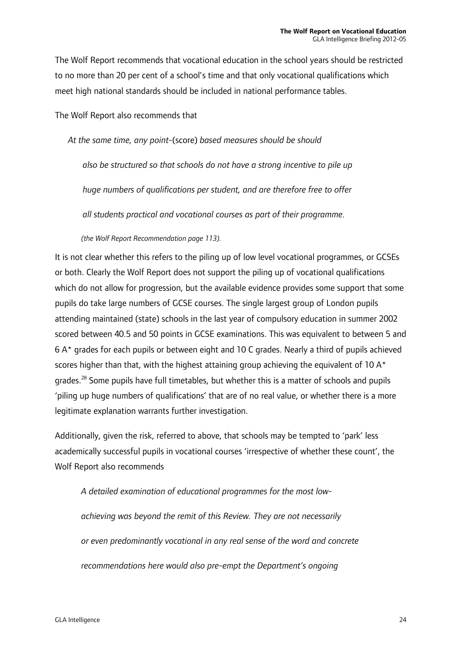The Wolf Report recommends that vocational education in the school years should be restricted to no more than 20 per cent of a school's time and that only vocational qualifications which meet high national standards should be included in national performance tables.

The Wolf Report also recommends that

*At the same time, any point-*(score) *based measures should be should* 

*also be structured so that schools do not have a strong incentive to pile up* 

*huge numbers of qualifications per student, and are therefore free to offer* 

*all students practical and vocational courses as part of their programme.* 

 *(the Wolf Report Recommendation page 113).* 

It is not clear whether this refers to the piling up of low level vocational programmes, or GCSEs or both. Clearly the Wolf Report does not support the piling up of vocational qualifications which do not allow for progression, but the available evidence provides some support that some pupils do take large numbers of GCSE courses. The single largest group of London pupils attending maintained (state) schools in the last year of compulsory education in summer 2002 scored between 40.5 and 50 points in GCSE examinations. This was equivalent to between 5 and 6 A\* grades for each pupils or between eight and 10 C grades. Nearly a third of pupils achieved scores higher than that, with the highest attaining group achieving the equivalent of 10  $A^*$ grades.<sup>28</sup> Some pupils have full timetables, but whether this is a matter of schools and pupils 'piling up huge numbers of qualifications' that are of no real value, or whether there is a more legitimate explanation warrants further investigation.

Additionally, given the risk, referred to above, that schools may be tempted to 'park' less academically successful pupils in vocational courses 'irrespective of whether these count', the Wolf Report also recommends

 *A detailed examination of educational programmes for the most low achieving was beyond the remit of this Review. They are not necessarily or even predominantly vocational in any real sense of the word and concrete recommendations here would also pre-empt the Department's ongoing*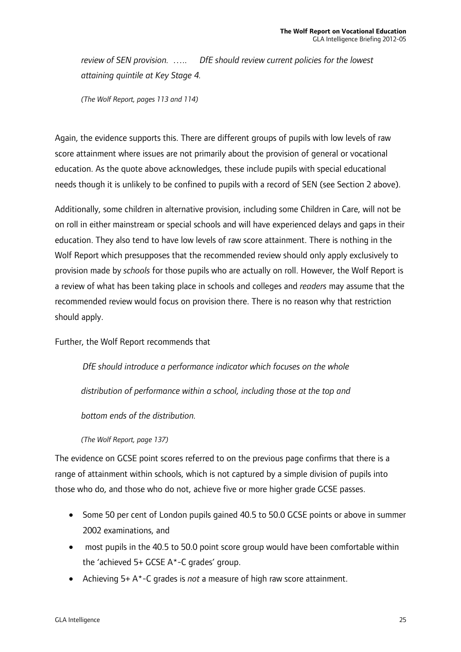*review of SEN provision. ….. DfE should review current policies for the lowest attaining quintile at Key Stage 4.* 

 *(The Wolf Report, pages 113 and 114)* 

Again, the evidence supports this. There are different groups of pupils with low levels of raw score attainment where issues are not primarily about the provision of general or vocational education. As the quote above acknowledges, these include pupils with special educational needs though it is unlikely to be confined to pupils with a record of SEN (see Section 2 above).

Additionally, some children in alternative provision, including some Children in Care, will not be on roll in either mainstream or special schools and will have experienced delays and gaps in their education. They also tend to have low levels of raw score attainment. There is nothing in the Wolf Report which presupposes that the recommended review should only apply exclusively to provision made by *schools* for those pupils who are actually on roll. However, the Wolf Report is a review of what has been taking place in schools and colleges and *readers* may assume that the recommended review would focus on provision there. There is no reason why that restriction should apply.

Further, the Wolf Report recommends that

*DfE should introduce a performance indicator which focuses on the whole* 

 *distribution of performance within a school, including those at the top and* 

*bottom ends of the distribution.* 

 *(The Wolf Report, page 137)* 

The evidence on GCSE point scores referred to on the previous page confirms that there is a range of attainment within schools, which is not captured by a simple division of pupils into those who do, and those who do not, achieve five or more higher grade GCSE passes.

- Some 50 per cent of London pupils gained 40.5 to 50.0 GCSE points or above in summer 2002 examinations, and
- most pupils in the 40.5 to 50.0 point score group would have been comfortable within the 'achieved 5+ GCSE A\*-C grades' group.
- Achieving 5+ A\*-C grades is *not* a measure of high raw score attainment.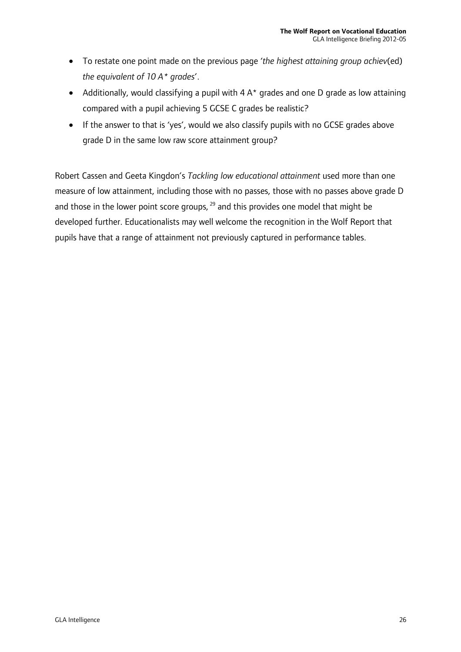- To restate one point made on the previous page '*the highest attaining group achiev*(ed) *the equivalent of 10 A\* grades*'.
- Additionally, would classifying a pupil with  $4 \, \text{A}^*$  grades and one D grade as low attaining compared with a pupil achieving 5 GCSE C grades be realistic?
- If the answer to that is 'yes', would we also classify pupils with no GCSE grades above grade D in the same low raw score attainment group?

Robert Cassen and Geeta Kingdon's *Tackling low educational attainment* used more than one measure of low attainment, including those with no passes, those with no passes above grade D and those in the lower point score groups,  $^{29}$  and this provides one model that might be developed further. Educationalists may well welcome the recognition in the Wolf Report that pupils have that a range of attainment not previously captured in performance tables.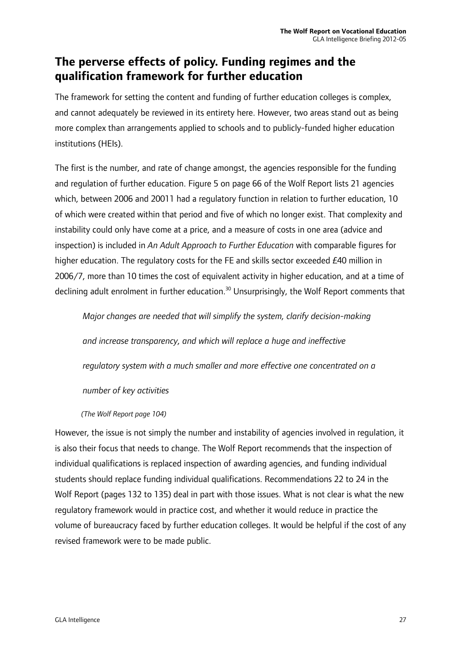### **The perverse effects of policy. Funding regimes and the qualification framework for further education**

The framework for setting the content and funding of further education colleges is complex, and cannot adequately be reviewed in its entirety here. However, two areas stand out as being more complex than arrangements applied to schools and to publicly-funded higher education institutions (HEIs).

The first is the number, and rate of change amongst, the agencies responsible for the funding and regulation of further education. Figure 5 on page 66 of the Wolf Report lists 21 agencies which, between 2006 and 20011 had a regulatory function in relation to further education, 10 of which were created within that period and five of which no longer exist. That complexity and instability could only have come at a price, and a measure of costs in one area (advice and inspection) is included in *An Adult Approach to Further Education* with comparable figures for higher education. The regulatory costs for the FE and skills sector exceeded £40 million in 2006/7, more than 10 times the cost of equivalent activity in higher education, and at a time of declining adult enrolment in further education.<sup>30</sup> Unsurprisingly, the Wolf Report comments that

*Major changes are needed that will simplify the system, clarify decision-making* 

*and increase transparency, and which will replace a huge and ineffective* 

*regulatory system with a much smaller and more effective one concentrated on a* 

#### *number of key activities*

#### *(The Wolf Report page 104)*

However, the issue is not simply the number and instability of agencies involved in regulation, it is also their focus that needs to change. The Wolf Report recommends that the inspection of individual qualifications is replaced inspection of awarding agencies, and funding individual students should replace funding individual qualifications. Recommendations 22 to 24 in the Wolf Report (pages 132 to 135) deal in part with those issues. What is not clear is what the new regulatory framework would in practice cost, and whether it would reduce in practice the volume of bureaucracy faced by further education colleges. It would be helpful if the cost of any revised framework were to be made public.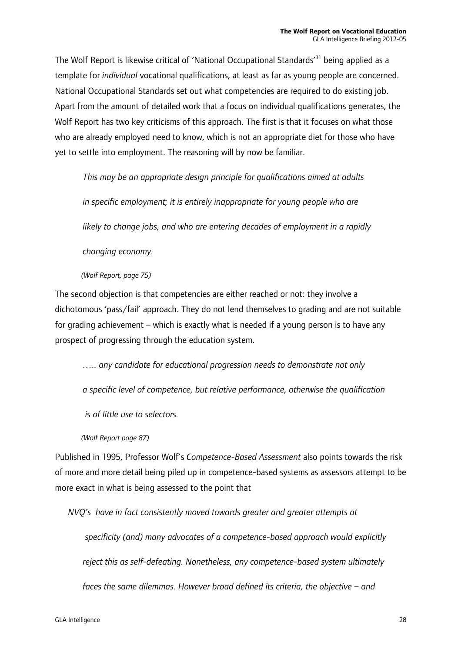The Wolf Report is likewise critical of 'National Occupational Standards'31 being applied as a template for *individual* vocational qualifications, at least as far as young people are concerned. National Occupational Standards set out what competencies are required to do existing job. Apart from the amount of detailed work that a focus on individual qualifications generates, the Wolf Report has two key criticisms of this approach. The first is that it focuses on what those who are already employed need to know, which is not an appropriate diet for those who have yet to settle into employment. The reasoning will by now be familiar.

*This may be an appropriate design principle for qualifications aimed at adults in specific employment; it is entirely inappropriate for young people who are likely to change jobs, and who are entering decades of employment in a rapidly changing economy.* 

#### *(Wolf Report, page 75)*

The second objection is that competencies are either reached or not: they involve a dichotomous 'pass/fail' approach. They do not lend themselves to grading and are not suitable for grading achievement – which is exactly what is needed if a young person is to have any prospect of progressing through the education system.

*….. any candidate for educational progression needs to demonstrate not only* 

*a specific level of competence, but relative performance, otherwise the qualification* 

 *is of little use to selectors.* 

*(Wolf Report page 87)* 

Published in 1995, Professor Wolf's *Competence-Based Assessment* also points towards the risk of more and more detail being piled up in competence-based systems as assessors attempt to be more exact in what is being assessed to the point that

*NVQ's have in fact consistently moved towards greater and greater attempts at* 

 *specificity (and) many advocates of a competence-based approach would explicitly reject this as self-defeating. Nonetheless, any competence-based system ultimately faces the same dilemmas. However broad defined its criteria, the objective – and*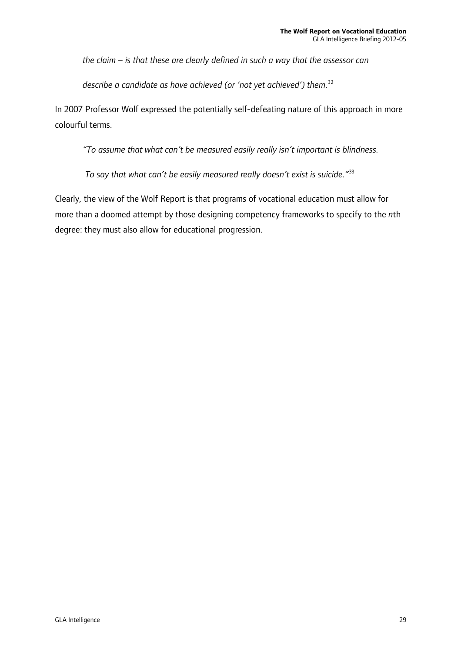*the claim – is that these are clearly defined in such a way that the assessor can* 

*describe a candidate as have achieved (or 'not yet achieved') them*. 32

In 2007 Professor Wolf expressed the potentially self-defeating nature of this approach in more colourful terms.

*"To assume that what can't be measured easily really isn't important is blindness.* 

 *To say that what can't be easily measured really doesn't exist is suicide."*<sup>33</sup>

Clearly, the view of the Wolf Report is that programs of vocational education must allow for more than a doomed attempt by those designing competency frameworks to specify to the *n*th degree: they must also allow for educational progression.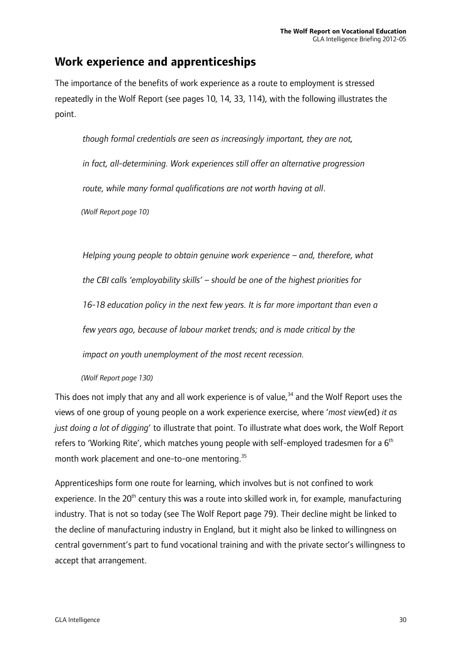### **Work experience and apprenticeships**

The importance of the benefits of work experience as a route to employment is stressed repeatedly in the Wolf Report (see pages 10, 14, 33, 114), with the following illustrates the point.

*though formal credentials are seen as increasingly important, they are not, in fact, all-determining. Work experiences still offer an alternative progression route, while many formal qualifications are not worth having at all*. *(Wolf Report page 10)* 

*Helping young people to obtain genuine work experience – and, therefore, what the CBI calls 'employability skills' – should be one of the highest priorities for 16-18 education policy in the next few years. It is far more important than even a few years ago, because of labour market trends; and is made critical by the impact on youth unemployment of the most recent recession.* 

*(Wolf Report page 130)* 

This does not imply that any and all work experience is of value, $34$  and the Wolf Report uses the views of one group of young people on a work experience exercise, where '*most view*(ed) *it as just doing a lot of digging*' to illustrate that point. To illustrate what does work, the Wolf Report refers to 'Working Rite', which matches young people with self-employed tradesmen for a  $6<sup>th</sup>$ month work placement and one-to-one mentoring.<sup>35</sup>

Apprenticeships form one route for learning, which involves but is not confined to work experience. In the  $20<sup>th</sup>$  century this was a route into skilled work in, for example, manufacturing industry. That is not so today (see The Wolf Report page 79). Their decline might be linked to the decline of manufacturing industry in England, but it might also be linked to willingness on central government's part to fund vocational training and with the private sector's willingness to accept that arrangement.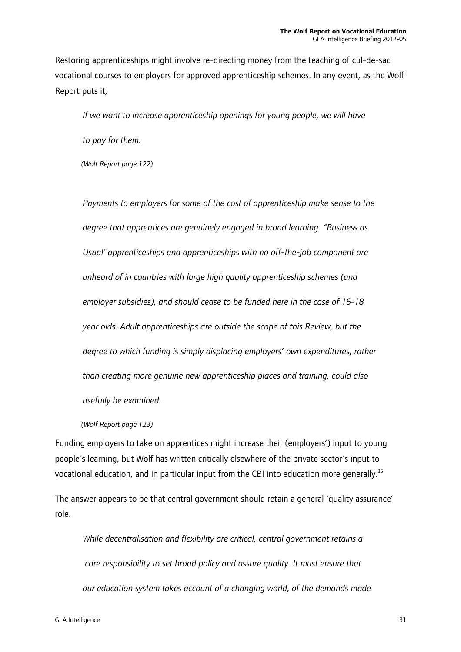Restoring apprenticeships might involve re-directing money from the teaching of cul-de-sac vocational courses to employers for approved apprenticeship schemes. In any event, as the Wolf Report puts it,

*If we want to increase apprenticeship openings for young people, we will have* 

*to pay for them.* 

*(Wolf Report page 122)* 

*Payments to employers for some of the cost of apprenticeship make sense to the degree that apprentices are genuinely engaged in broad learning. "Business as Usual' apprenticeships and apprenticeships with no off-the-job component are unheard of in countries with large high quality apprenticeship schemes (and employer subsidies), and should cease to be funded here in the case of 16-18 year olds. Adult apprenticeships are outside the scope of this Review, but the degree to which funding is simply displacing employers' own expenditures, rather than creating more genuine new apprenticeship places and training, could also usefully be examined.* 

*(Wolf Report page 123)* 

Funding employers to take on apprentices might increase their (employers') input to young people's learning, but Wolf has written critically elsewhere of the private sector's input to vocational education, and in particular input from the CBI into education more generally.<sup>35</sup>

The answer appears to be that central government should retain a general 'quality assurance' role.

*While decentralisation and flexibility are critical, central government retains a core responsibility to set broad policy and assure quality. It must ensure that our education system takes account of a changing world, of the demands made*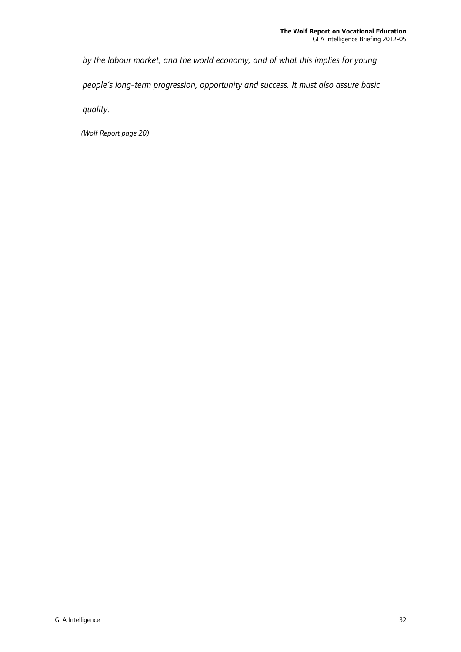*by the labour market, and the world economy, and of what this implies for young people's long-term progression, opportunity and success. It must also assure basic quality.* 

*(Wolf Report page 20)*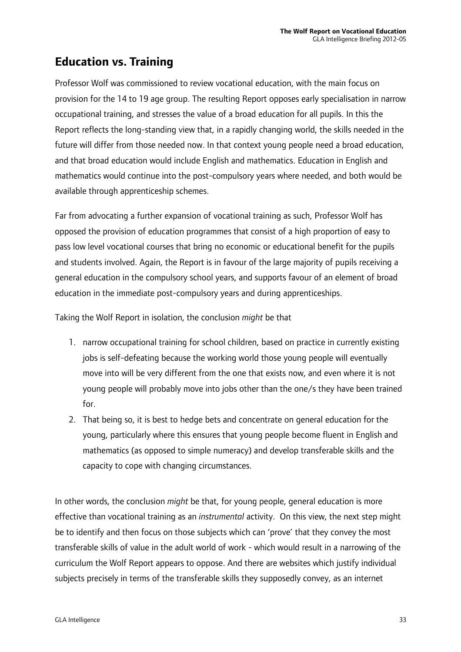### **Education vs. Training**

Professor Wolf was commissioned to review vocational education, with the main focus on provision for the 14 to 19 age group. The resulting Report opposes early specialisation in narrow occupational training, and stresses the value of a broad education for all pupils. In this the Report reflects the long-standing view that, in a rapidly changing world, the skills needed in the future will differ from those needed now. In that context young people need a broad education, and that broad education would include English and mathematics. Education in English and mathematics would continue into the post-compulsory years where needed, and both would be available through apprenticeship schemes.

Far from advocating a further expansion of vocational training as such, Professor Wolf has opposed the provision of education programmes that consist of a high proportion of easy to pass low level vocational courses that bring no economic or educational benefit for the pupils and students involved. Again, the Report is in favour of the large majority of pupils receiving a general education in the compulsory school years, and supports favour of an element of broad education in the immediate post-compulsory years and during apprenticeships.

Taking the Wolf Report in isolation, the conclusion *might* be that

- 1. narrow occupational training for school children, based on practice in currently existing jobs is self-defeating because the working world those young people will eventually move into will be very different from the one that exists now, and even where it is not young people will probably move into jobs other than the one/s they have been trained for.
- 2. That being so, it is best to hedge bets and concentrate on general education for the young, particularly where this ensures that young people become fluent in English and mathematics (as opposed to simple numeracy) and develop transferable skills and the capacity to cope with changing circumstances.

In other words, the conclusion *might* be that, for young people, general education is more effective than vocational training as an *instrumental* activity. On this view, the next step might be to identify and then focus on those subjects which can 'prove' that they convey the most transferable skills of value in the adult world of work - which would result in a narrowing of the curriculum the Wolf Report appears to oppose. And there are websites which justify individual subjects precisely in terms of the transferable skills they supposedly convey, as an internet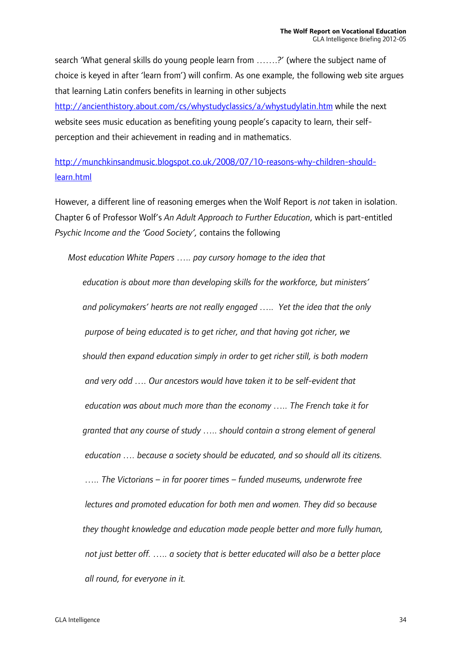search 'What general skills do young people learn from …….?' (where the subject name of choice is keyed in after 'learn from') will confirm. As one example, the following web site argues that learning Latin confers benefits in learning in other subjects http://ancienthistory.about.com/cs/whystudyclassics/a/whystudylatin.htm while the next

website sees music education as benefiting young people's capacity to learn, their selfperception and their achievement in reading and in mathematics.

http://munchkinsandmusic.blogspot.co.uk/2008/07/10-reasons-why-children-shouldlearn.html

However, a different line of reasoning emerges when the Wolf Report is *not* taken in isolation. Chapter 6 of Professor Wolf's *An Adult Approach to Further Education*, which is part-entitled *Psychic Income and the 'Good Society',* contains the following

*Most education White Papers ….. pay cursory homage to the idea that* 

*education is about more than developing skills for the workforce, but ministers' and policymakers' hearts are not really engaged ….. Yet the idea that the only purpose of being educated is to get richer, and that having got richer, we should then expand education simply in order to get richer still, is both modern and very odd …. Our ancestors would have taken it to be self-evident that education was about much more than the economy ….. The French take it for granted that any course of study ….. should contain a strong element of general education …. because a society should be educated, and so should all its citizens. ….. The Victorians – in far poorer times – funded museums, underwrote free lectures and promoted education for both men and women. They did so because they thought knowledge and education made people better and more fully human, not just better off. ….. a society that is better educated will also be a better place all round, for everyone in it.*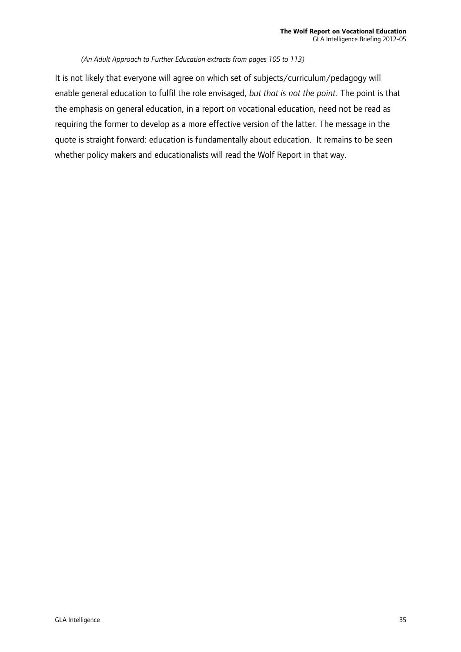#### *(An Adult Approach to Further Education extracts from pages 105 to 113)*

It is not likely that everyone will agree on which set of subjects/curriculum/pedagogy will enable general education to fulfil the role envisaged, *but that is not the point*. The point is that the emphasis on general education, in a report on vocational education, need not be read as requiring the former to develop as a more effective version of the latter. The message in the quote is straight forward: education is fundamentally about education. It remains to be seen whether policy makers and educationalists will read the Wolf Report in that way.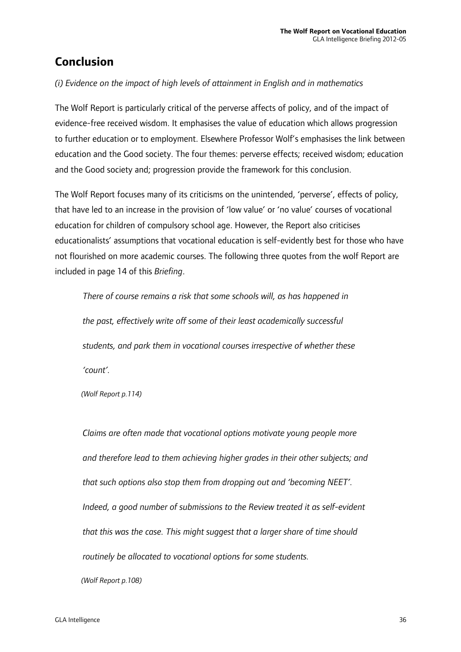### **Conclusion**

#### *(i) Evidence on the impact of high levels of attainment in English and in mathematics*

The Wolf Report is particularly critical of the perverse affects of policy, and of the impact of evidence-free received wisdom. It emphasises the value of education which allows progression to further education or to employment. Elsewhere Professor Wolf's emphasises the link between education and the Good society. The four themes: perverse effects; received wisdom; education and the Good society and; progression provide the framework for this conclusion.

The Wolf Report focuses many of its criticisms on the unintended, 'perverse', effects of policy, that have led to an increase in the provision of 'low value' or 'no value' courses of vocational education for children of compulsory school age. However, the Report also criticises educationalists' assumptions that vocational education is self-evidently best for those who have not flourished on more academic courses. The following three quotes from the wolf Report are included in page 14 of this *Briefing*.

*There of course remains a risk that some schools will, as has happened in the past, effectively write off some of their least academically successful students, and park them in vocational courses irrespective of whether these 'count'.* 

*(Wolf Report p.114)* 

*Claims are often made that vocational options motivate young people more and therefore lead to them achieving higher grades in their other subjects; and that such options also stop them from dropping out and 'becoming NEET'. Indeed, a good number of submissions to the Review treated it as self-evident that this was the case. This might suggest that a larger share of time should routinely be allocated to vocational options for some students. (Wolf Report p.108)*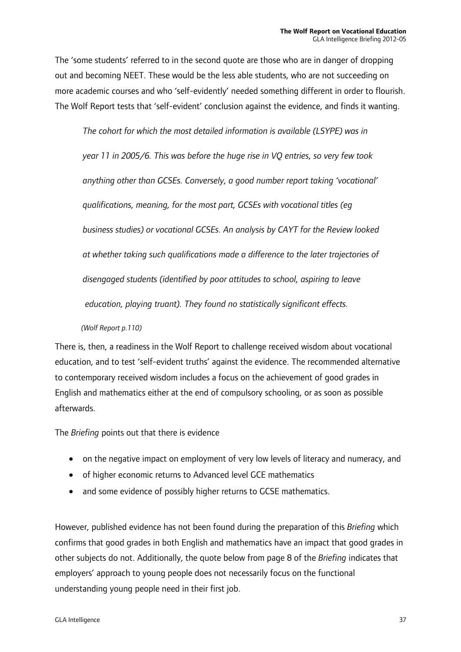The 'some students' referred to in the second quote are those who are in danger of dropping out and becoming NEET. These would be the less able students, who are not succeeding on more academic courses and who 'self-evidently' needed something different in order to flourish. The Wolf Report tests that 'self-evident' conclusion against the evidence, and finds it wanting.

*The cohort for which the most detailed information is available (LSYPE) was in year 11 in 2005/6. This was before the huge rise in VQ entries, so very few took anything other than GCSEs. Conversely, a good number report taking 'vocational' qualifications, meaning, for the most part, GCSEs with vocational titles (eg business studies) or vocational GCSEs. An analysis by CAYT for the Review looked at whether taking such qualifications made a difference to the later trajectories of disengaged students (identified by poor attitudes to school, aspiring to leave education, playing truant). They found no statistically significant effects.* 

#### *(Wolf Report p.110)*

There is, then, a readiness in the Wolf Report to challenge received wisdom about vocational education, and to test 'self-evident truths' against the evidence. The recommended alternative to contemporary received wisdom includes a focus on the achievement of good grades in English and mathematics either at the end of compulsory schooling, or as soon as possible afterwards.

The *Briefing* points out that there is evidence

- on the negative impact on employment of very low levels of literacy and numeracy, and
- of higher economic returns to Advanced level GCE mathematics
- and some evidence of possibly higher returns to GCSE mathematics.

However, published evidence has not been found during the preparation of this *Briefing* which confirms that good grades in both English and mathematics have an impact that good grades in other subjects do not. Additionally, the quote below from page 8 of the *Briefing* indicates that employers' approach to young people does not necessarily focus on the functional understanding young people need in their first job.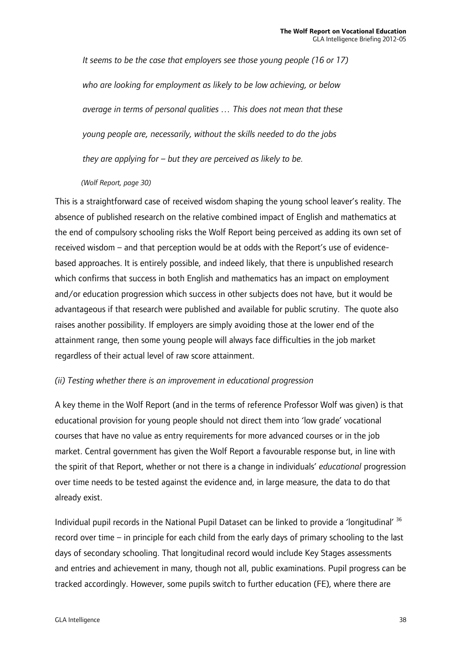*It seems to be the case that employers see those young people (16 or 17) who are looking for employment as likely to be low achieving, or below average in terms of personal qualities … This does not mean that these young people are, necessarily, without the skills needed to do the jobs they are applying for – but they are perceived as likely to be.* 

*(Wolf Report, page 30)* 

This is a straightforward case of received wisdom shaping the young school leaver's reality. The absence of published research on the relative combined impact of English and mathematics at the end of compulsory schooling risks the Wolf Report being perceived as adding its own set of received wisdom – and that perception would be at odds with the Report's use of evidencebased approaches. It is entirely possible, and indeed likely, that there is unpublished research which confirms that success in both English and mathematics has an impact on employment and/or education progression which success in other subjects does not have, but it would be advantageous if that research were published and available for public scrutiny. The quote also raises another possibility. If employers are simply avoiding those at the lower end of the attainment range, then some young people will always face difficulties in the job market regardless of their actual level of raw score attainment.

#### *(ii) Testing whether there is an improvement in educational progression*

A key theme in the Wolf Report (and in the terms of reference Professor Wolf was given) is that educational provision for young people should not direct them into 'low grade' vocational courses that have no value as entry requirements for more advanced courses or in the job market. Central government has given the Wolf Report a favourable response but, in line with the spirit of that Report, whether or not there is a change in individuals' *educational* progression over time needs to be tested against the evidence and, in large measure, the data to do that already exist.

Individual pupil records in the National Pupil Dataset can be linked to provide a 'longitudinal' 36 record over time – in principle for each child from the early days of primary schooling to the last days of secondary schooling. That longitudinal record would include Key Stages assessments and entries and achievement in many, though not all, public examinations. Pupil progress can be tracked accordingly. However, some pupils switch to further education (FE), where there are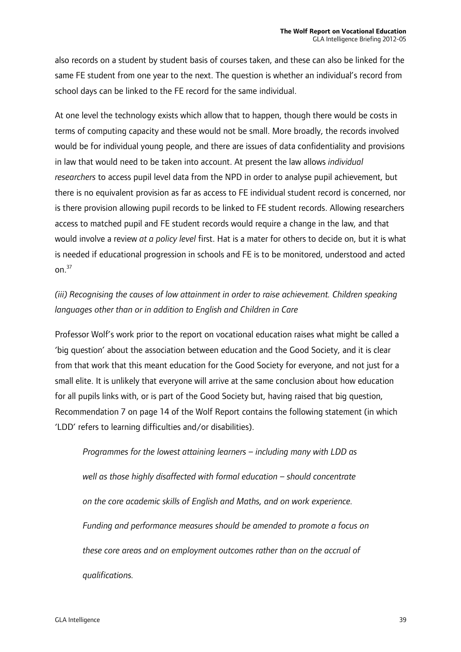also records on a student by student basis of courses taken, and these can also be linked for the same FE student from one year to the next. The question is whether an individual's record from school days can be linked to the FE record for the same individual.

At one level the technology exists which allow that to happen, though there would be costs in terms of computing capacity and these would not be small. More broadly, the records involved would be for individual young people, and there are issues of data confidentiality and provisions in law that would need to be taken into account. At present the law allows *individual researchers* to access pupil level data from the NPD in order to analyse pupil achievement, but there is no equivalent provision as far as access to FE individual student record is concerned, nor is there provision allowing pupil records to be linked to FE student records. Allowing researchers access to matched pupil and FE student records would require a change in the law, and that would involve a review *at a policy level* first. Hat is a mater for others to decide on, but it is what is needed if educational progression in schools and FE is to be monitored, understood and acted on $37$ 

### *(iii) Recognising the causes of low attainment in order to raise achievement. Children speaking languages other than or in addition to English and Children in Care*

Professor Wolf's work prior to the report on vocational education raises what might be called a 'big question' about the association between education and the Good Society, and it is clear from that work that this meant education for the Good Society for everyone, and not just for a small elite. It is unlikely that everyone will arrive at the same conclusion about how education for all pupils links with, or is part of the Good Society but, having raised that big question, Recommendation 7 on page 14 of the Wolf Report contains the following statement (in which 'LDD' refers to learning difficulties and/or disabilities).

*Programmes for the lowest attaining learners – including many with LDD as well as those highly disaffected with formal education – should concentrate on the core academic skills of English and Maths, and on work experience. Funding and performance measures should be amended to promote a focus on these core areas and on employment outcomes rather than on the accrual of qualifications.*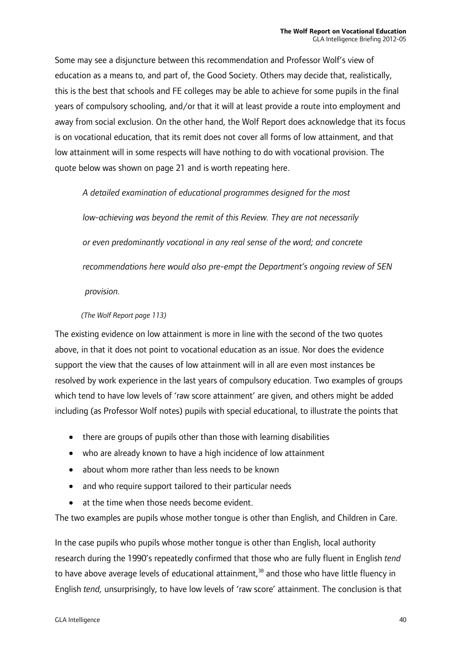Some may see a disjuncture between this recommendation and Professor Wolf's view of education as a means to, and part of, the Good Society. Others may decide that, realistically, this is the best that schools and FE colleges may be able to achieve for some pupils in the final years of compulsory schooling, and/or that it will at least provide a route into employment and away from social exclusion. On the other hand, the Wolf Report does acknowledge that its focus is on vocational education, that its remit does not cover all forms of low attainment, and that low attainment will in some respects will have nothing to do with vocational provision. The quote below was shown on page 21 and is worth repeating here.

*A detailed examination of educational programmes designed for the most* 

*low-achieving was beyond the remit of this Review. They are not necessarily or even predominantly vocational in any real sense of the word; and concrete recommendations here would also pre-empt the Department's ongoing review of SEN provision.* 

#### *(The Wolf Report page 113)*

The existing evidence on low attainment is more in line with the second of the two quotes above, in that it does not point to vocational education as an issue. Nor does the evidence support the view that the causes of low attainment will in all are even most instances be resolved by work experience in the last years of compulsory education. Two examples of groups which tend to have low levels of 'raw score attainment' are given, and others might be added including (as Professor Wolf notes) pupils with special educational, to illustrate the points that

- there are groups of pupils other than those with learning disabilities
- who are already known to have a high incidence of low attainment
- about whom more rather than less needs to be known
- and who require support tailored to their particular needs
- at the time when those needs become evident.

The two examples are pupils whose mother tongue is other than English, and Children in Care.

In the case pupils who pupils whose mother tongue is other than English, local authority research during the 1990's repeatedly confirmed that those who are fully fluent in English *tend* to have above average levels of educational attainment,<sup>38</sup> and those who have little fluency in English *tend,* unsurprisingly, to have low levels of 'raw score' attainment. The conclusion is that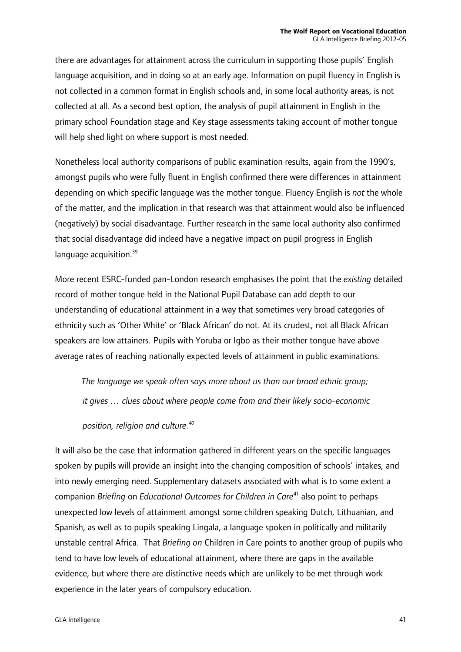there are advantages for attainment across the curriculum in supporting those pupils' English language acquisition, and in doing so at an early age. Information on pupil fluency in English is not collected in a common format in English schools and, in some local authority areas, is not collected at all. As a second best option, the analysis of pupil attainment in English in the primary school Foundation stage and Key stage assessments taking account of mother tongue will help shed light on where support is most needed.

Nonetheless local authority comparisons of public examination results, again from the 1990's, amongst pupils who were fully fluent in English confirmed there were differences in attainment depending on which specific language was the mother tongue. Fluency English is *not* the whole of the matter, and the implication in that research was that attainment would also be influenced (negatively) by social disadvantage. Further research in the same local authority also confirmed that social disadvantage did indeed have a negative impact on pupil progress in English language acquisition. $39$ 

More recent ESRC-funded pan-London research emphasises the point that the *existing* detailed record of mother tongue held in the National Pupil Database can add depth to our understanding of educational attainment in a way that sometimes very broad categories of ethnicity such as 'Other White' or 'Black African' do not. At its crudest, not all Black African speakers are low attainers. Pupils with Yoruba or Igbo as their mother tongue have above average rates of reaching nationally expected levels of attainment in public examinations.

 *The language we speak often says more about us than our broad ethnic group; it gives … clues about where people come from and their likely socio-economic* 

*position, religion and culture.40* 

It will also be the case that information gathered in different years on the specific languages spoken by pupils will provide an insight into the changing composition of schools' intakes, and into newly emerging need. Supplementary datasets associated with what is to some extent a companion *Briefing* on *Educational Outcomes for Children in Care*41 also point to perhaps unexpected low levels of attainment amongst some children speaking Dutch, Lithuanian, and Spanish, as well as to pupils speaking Lingala, a language spoken in politically and militarily unstable central Africa. That *Briefing on* Children in Care points to another group of pupils who tend to have low levels of educational attainment, where there are gaps in the available evidence, but where there are distinctive needs which are unlikely to be met through work experience in the later years of compulsory education.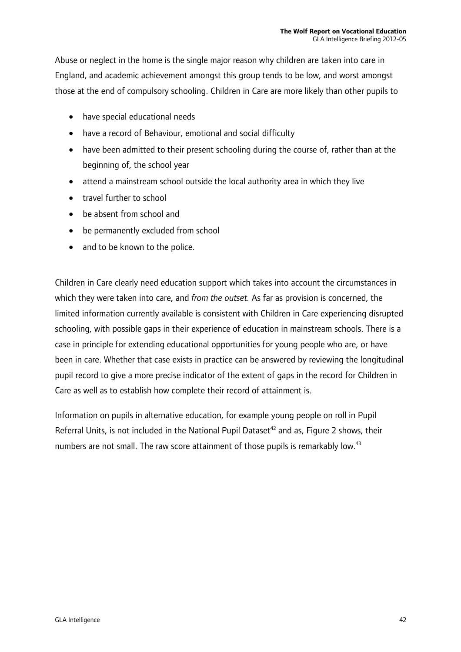Abuse or neglect in the home is the single major reason why children are taken into care in England, and academic achievement amongst this group tends to be low, and worst amongst those at the end of compulsory schooling. Children in Care are more likely than other pupils to

- have special educational needs
- have a record of Behaviour, emotional and social difficulty
- have been admitted to their present schooling during the course of, rather than at the beginning of, the school year
- attend a mainstream school outside the local authority area in which they live
- travel further to school
- be absent from school and
- be permanently excluded from school
- and to be known to the police.

Children in Care clearly need education support which takes into account the circumstances in which they were taken into care, and *from the outset.* As far as provision is concerned, the limited information currently available is consistent with Children in Care experiencing disrupted schooling, with possible gaps in their experience of education in mainstream schools. There is a case in principle for extending educational opportunities for young people who are, or have been in care. Whether that case exists in practice can be answered by reviewing the longitudinal pupil record to give a more precise indicator of the extent of gaps in the record for Children in Care as well as to establish how complete their record of attainment is.

Information on pupils in alternative education, for example young people on roll in Pupil Referral Units, is not included in the National Pupil Dataset<sup>42</sup> and as, Figure 2 shows, their numbers are not small. The raw score attainment of those pupils is remarkably low.<sup>43</sup>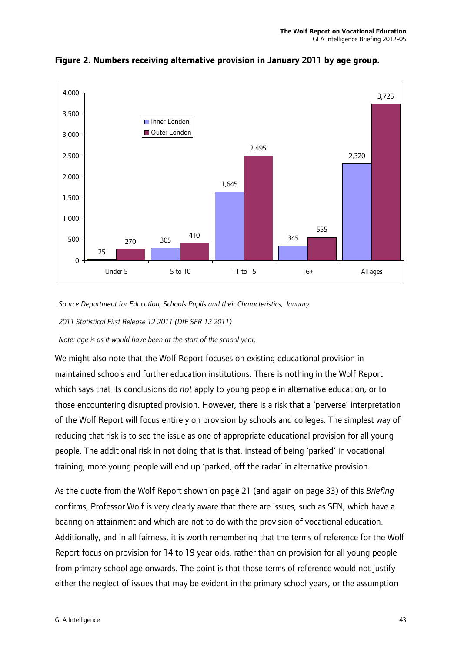

**Figure 2. Numbers receiving alternative provision in January 2011 by age group.** 

 *Source Department for Education, Schools Pupils and their Characteristics, January* 

 *2011 Statistical First Release 12 2011 (DfE SFR 12 2011)* 

 *Note: age is as it would have been at the start of the school year.* 

We might also note that the Wolf Report focuses on existing educational provision in maintained schools and further education institutions. There is nothing in the Wolf Report which says that its conclusions do *not* apply to young people in alternative education, or to those encountering disrupted provision. However, there is a risk that a 'perverse' interpretation of the Wolf Report will focus entirely on provision by schools and colleges. The simplest way of reducing that risk is to see the issue as one of appropriate educational provision for all young people. The additional risk in not doing that is that, instead of being 'parked' in vocational training, more young people will end up 'parked, off the radar' in alternative provision.

As the quote from the Wolf Report shown on page 21 (and again on page 33) of this *Briefing* confirms, Professor Wolf is very clearly aware that there are issues, such as SEN, which have a bearing on attainment and which are not to do with the provision of vocational education. Additionally, and in all fairness, it is worth remembering that the terms of reference for the Wolf Report focus on provision for 14 to 19 year olds, rather than on provision for all young people from primary school age onwards. The point is that those terms of reference would not justify either the neglect of issues that may be evident in the primary school years, or the assumption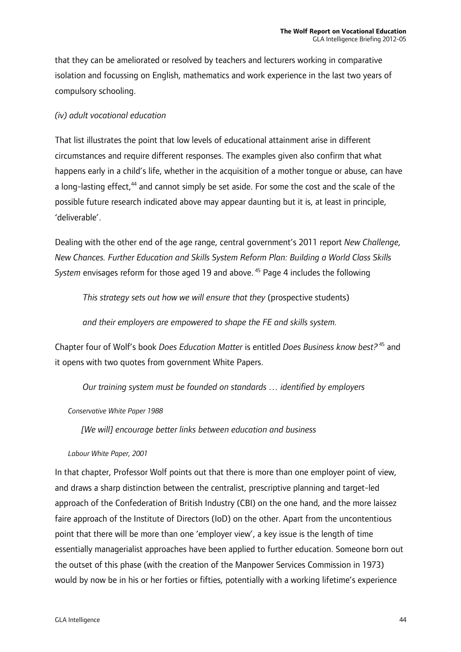that they can be ameliorated or resolved by teachers and lecturers working in comparative isolation and focussing on English, mathematics and work experience in the last two years of compulsory schooling.

#### *(iv) adult vocational education*

That list illustrates the point that low levels of educational attainment arise in different circumstances and require different responses. The examples given also confirm that what happens early in a child's life, whether in the acquisition of a mother tongue or abuse, can have a long-lasting effect,<sup>44</sup> and cannot simply be set aside. For some the cost and the scale of the possible future research indicated above may appear daunting but it is, at least in principle, 'deliverable'.

Dealing with the other end of the age range, central government's 2011 report *New Challenge, New Chances. Further Education and Skills System Reform Plan: Building a World Class Skills System* envisages reform for those aged 19 and above. 45 Page 4 includes the following

*This strategy sets out how we will ensure that they* (prospective students)

*and their employers are empowered to shape the FE and skills system.*

Chapter four of Wolf's book *Does Education Matter* is entitled *Does Business know best?*<sup>45</sup> and it opens with two quotes from government White Papers.

*Our training system must be founded on standards … identified by employers* 

#### *Conservative White Paper 1988*

*[We will] encourage better links between education and business* 

#### *Labour White Paper, 2001*

In that chapter, Professor Wolf points out that there is more than one employer point of view, and draws a sharp distinction between the centralist, prescriptive planning and target-led approach of the Confederation of British Industry (CBI) on the one hand, and the more laissez faire approach of the Institute of Directors (IoD) on the other. Apart from the uncontentious point that there will be more than one 'employer view', a key issue is the length of time essentially managerialist approaches have been applied to further education. Someone born out the outset of this phase (with the creation of the Manpower Services Commission in 1973) would by now be in his or her forties or fifties, potentially with a working lifetime's experience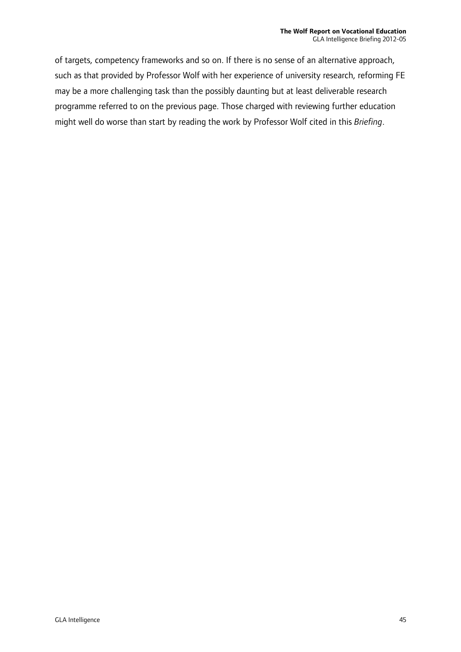of targets, competency frameworks and so on. If there is no sense of an alternative approach, such as that provided by Professor Wolf with her experience of university research, reforming FE may be a more challenging task than the possibly daunting but at least deliverable research programme referred to on the previous page. Those charged with reviewing further education might well do worse than start by reading the work by Professor Wolf cited in this *Briefing*.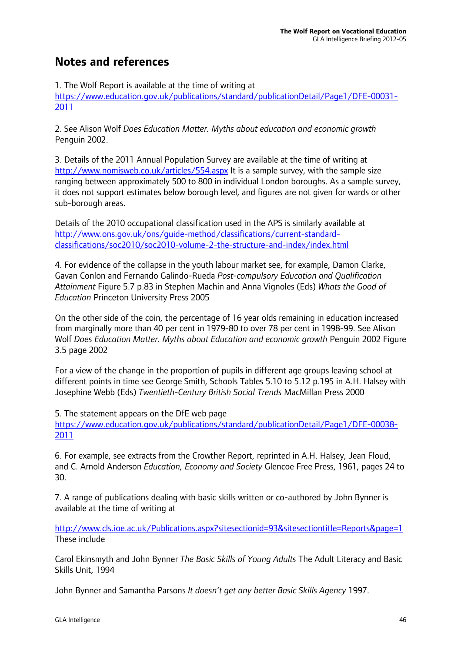### **Notes and references**

1. The Wolf Report is available at the time of writing at

https://www.education.gov.uk/publications/standard/publicationDetail/Page1/DFE-00031- 2011

2. See Alison Wolf *Does Education Matter. Myths about education and economic growth*  Penguin 2002.

3. Details of the 2011 Annual Population Survey are available at the time of writing at http://www.nomisweb.co.uk/articles/554.aspx It is a sample survey, with the sample size ranging between approximately 500 to 800 in individual London boroughs. As a sample survey, it does not support estimates below borough level, and figures are not given for wards or other sub-borough areas.

Details of the 2010 occupational classification used in the APS is similarly available at http://www.ons.gov.uk/ons/guide-method/classifications/current-standardclassifications/soc2010/soc2010-volume-2-the-structure-and-index/index.html

4. For evidence of the collapse in the youth labour market see, for example, Damon Clarke, Gavan Conlon and Fernando Galindo-Rueda *Post-compulsory Education and Qualification Attainment* Figure 5.7 p.83 in Stephen Machin and Anna Vignoles (Eds) *Whats the Good of Education* Princeton University Press 2005

On the other side of the coin, the percentage of 16 year olds remaining in education increased from marginally more than 40 per cent in 1979-80 to over 78 per cent in 1998-99. See Alison Wolf *Does Education Matter. Myths about Education and economic growth* Penguin 2002 Figure 3.5 page 2002

For a view of the change in the proportion of pupils in different age groups leaving school at different points in time see George Smith, Schools Tables 5.10 to 5.12 p.195 in A.H. Halsey with Josephine Webb (Eds) *Twentieth-Century British Social Trends* MacMillan Press 2000

5. The statement appears on the DfE web page

https://www.education.gov.uk/publications/standard/publicationDetail/Page1/DFE-00038- 2011

6. For example, see extracts from the Crowther Report, reprinted in A.H. Halsey, Jean Floud, and C. Arnold Anderson *Education, Economy and Society* Glencoe Free Press, 1961, pages 24 to 30.

7. A range of publications dealing with basic skills written or co-authored by John Bynner is available at the time of writing at

http://www.cls.ioe.ac.uk/Publications.aspx?sitesectionid=93&sitesectiontitle=Reports&page=1 These include

Carol Ekinsmyth and John Bynner *The Basic Skills of Young Adults* The Adult Literacy and Basic Skills Unit, 1994

John Bynner and Samantha Parsons *It doesn't get any better Basic Skills Agency* 1997.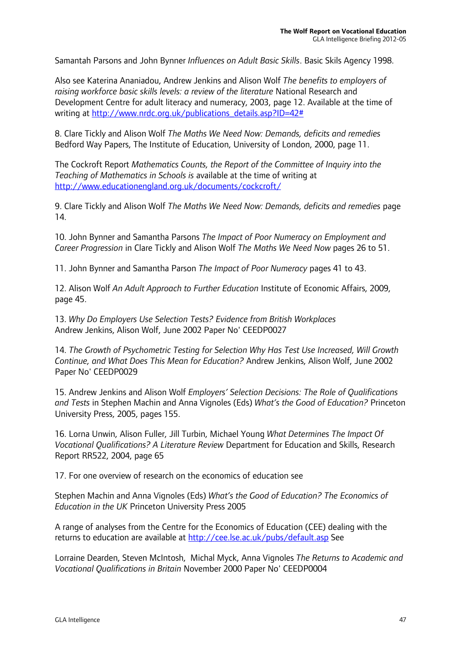Samantah Parsons and John Bynner *Influences on Adult Basic Skills*. Basic Skils Agency 1998.

Also see Katerina Ananiadou, Andrew Jenkins and Alison Wolf *The benefits to employers of raising workforce basic skills levels: a review of the literature* National Research and Development Centre for adult literacy and numeracy, 2003, page 12. Available at the time of writing at http://www.nrdc.org.uk/publications\_details.asp?ID=42#

8. Clare Tickly and Alison Wolf *The Maths We Need Now: Demands, deficits and remedies* Bedford Way Papers, The Institute of Education, University of London, 2000, page 11.

The Cockroft Report *Mathematics Counts, the Report of the Committee of Inquiry into the Teaching of Mathematics in Schools is* available at the time of writing at http://www.educationengland.org.uk/documents/cockcroft/

9. Clare Tickly and Alison Wolf *The Maths We Need Now: Demands, deficits and remedies* page 14.

10. John Bynner and Samantha Parsons *The Impact of Poor Numeracy on Employment and Career Progression* in Clare Tickly and Alison Wolf *The Maths We Need Now* pages 26 to 51.

11. John Bynner and Samantha Parson *The Impact of Poor Numeracy* pages 41 to 43.

12. Alison Wolf *An Adult Approach to Further Education* Institute of Economic Affairs, 2009, page 45.

13. *Why Do Employers Use Selection Tests? Evidence from British Workplaces*  Andrew Jenkins, Alison Wolf, June 2002 Paper No' CEEDP0027

14. *The Growth of Psychometric Testing for Selection Why Has Test Use Increased, Will Growth Continue, and What Does This Mean for Education?* Andrew Jenkins, Alison Wolf, June 2002 Paper No' CEEDP0029

15. Andrew Jenkins and Alison Wolf *Employers' Selection Decisions: The Role of Qualifications and Tests* in Stephen Machin and Anna Vignoles (Eds) *What's the Good of Education?* Princeton University Press, 2005, pages 155.

16. Lorna Unwin, Alison Fuller, Jill Turbin, Michael Young *What Determines The Impact Of Vocational Qualifications? A Literature Review* Department for Education and Skills, Research Report RR522, 2004, page 65

17. For one overview of research on the economics of education see

Stephen Machin and Anna Vignoles (Eds) *What's the Good of Education? The Economics of Education in the UK* Princeton University Press 2005

A range of analyses from the Centre for the Economics of Education (CEE) dealing with the returns to education are available at http://cee.lse.ac.uk/pubs/default.asp See

Lorraine Dearden, Steven McIntosh, Michal Myck, Anna Vignoles *The Returns to Academic and Vocational Qualifications in Britain* November 2000 Paper No' CEEDP0004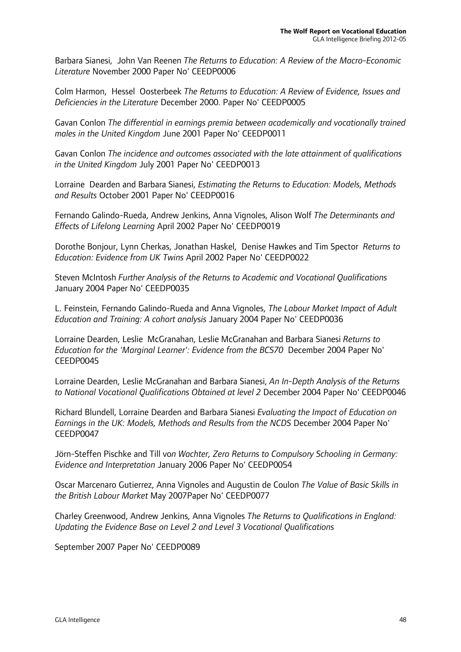Barbara Sianesi, John Van Reenen *The Returns to Education: A Review of the Macro-Economic Literature* November 2000 Paper No' CEEDP0006

Colm Harmon, Hessel Oosterbeek *The Returns to Education: A Review of Evidence, Issues and Deficiencies in the Literature* December 2000. Paper No' CEEDP0005

Gavan Conlon *The differential in earnings premia between academically and vocationally trained males in the United Kingdom* June 2001 Paper No' CEEDP0011

Gavan Conlon *The incidence and outcomes associated with the late attainment of qualifications in the United Kingdom* July 2001 Paper No' CEEDP0013

Lorraine Dearden and Barbara Sianesi, *Estimating the Returns to Education: Models, Methods and Results* October 2001 Paper No' CEEDP0016

Fernando Galindo-Rueda, Andrew Jenkins, Anna Vignoles, Alison Wolf *The Determinants and Effects of Lifelong Learning* April 2002 Paper No' CEEDP0019

Dorothe Bonjour, Lynn Cherkas, Jonathan Haskel, Denise Hawkes and Tim Spector *Returns to Education: Evidence from UK Twins* April 2002 Paper No' CEEDP0022

Steven McIntosh *Further Analysis of the Returns to Academic and Vocational Qualifications* January 2004 Paper No' CEEDP0035

L. Feinstein, Fernando Galindo-Rueda and Anna Vignoles, *The Labour Market Impact of Adult Education and Training: A cohort analysis* January 2004 Paper No' CEEDP0036

Lorraine Dearden, Leslie McGranahan, Leslie McGranahan and Barbara Sianesi *Returns to Education for the 'Marginal Learner': Evidence from the BCS70* December 2004 Paper No' CEEDP0045

Lorraine Dearden, Leslie McGranahan and Barbara Sianesi, *An In-Depth Analysis of the Returns to National Vocational Qualifications Obtained at level 2* December 2004 Paper No' CEEDP0046

Richard Blundell, Lorraine Dearden and Barbara Sianesi *Evaluating the Impact of Education on Earnings in the UK: Models, Methods and Results from the NCDS* December 2004 Paper No' CEEDP0047

Jörn-Steffen Pischke and Till vo*n Wachter, Zero Returns to Compulsory Schooling in Germany: Evidence and Interpretation* January 2006 Paper No' CEEDP0054

Oscar Marcenaro Gutierrez, Anna Vignoles and Augustin de Coulon *The Value of Basic Skills in the British Labour Market* May 2007Paper No' CEEDP0077

Charley Greenwood, Andrew Jenkins, Anna Vignoles *The Returns to Qualifications in England: Updating the Evidence Base on Level 2 and Level 3 Vocational Qualifications* 

September 2007 Paper No' CEEDP0089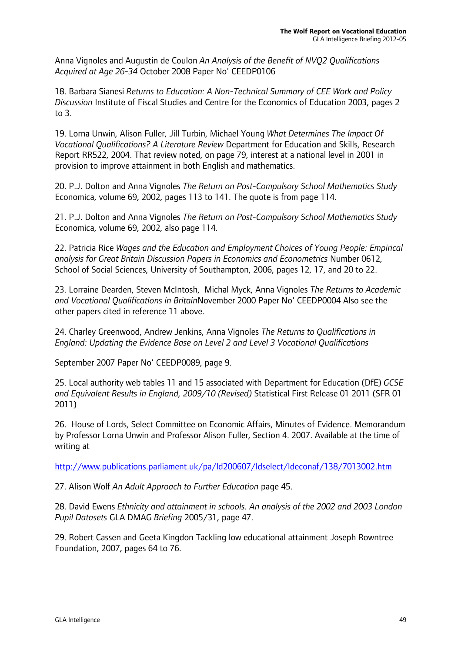Anna Vignoles and Augustin de Coulon *An Analysis of the Benefit of NVQ2 Qualifications Acquired at Age 26-34* October 2008 Paper No' CEEDP0106

18. Barbara Sianesi *Returns to Education: A Non-Technical Summary of CEE Work and Policy Discussion* Institute of Fiscal Studies and Centre for the Economics of Education 2003, pages 2 to 3.

19. Lorna Unwin, Alison Fuller, Jill Turbin, Michael Young *What Determines The Impact Of Vocational Qualifications? A Literature Review* Department for Education and Skills, Research Report RR522, 2004. That review noted, on page 79, interest at a national level in 2001 in provision to improve attainment in both English and mathematics.

20. P.J. Dolton and Anna Vignoles *The Return on Post-Compulsory School Mathematics Study*  Economica, volume 69, 2002, pages 113 to 141. The quote is from page 114.

21. P.J. Dolton and Anna Vignoles *The Return on Post-Compulsory School Mathematics Study*  Economica, volume 69, 2002, also page 114.

22. Patricia Rice *Wages and the Education and Employment Choices of Young People: Empirical analysis for Great Britain Discussion Papers in Economics and Econometrics* Number 0612, School of Social Sciences, University of Southampton, 2006, pages 12, 17, and 20 to 22.

23. Lorraine Dearden, Steven McIntosh, Michal Myck, Anna Vignoles *The Returns to Academic and Vocational Qualifications in Britain*November 2000 Paper No' CEEDP0004 Also see the other papers cited in reference 11 above.

24. Charley Greenwood, Andrew Jenkins, Anna Vignoles *The Returns to Qualifications in England: Updating the Evidence Base on Level 2 and Level 3 Vocational Qualifications* 

September 2007 Paper No' CEEDP0089, page 9.

25. Local authority web tables 11 and 15 associated with Department for Education (DfE) *GCSE and Equivalent Results in England, 2009/10 (Revised)* Statistical First Release 01 2011 (SFR 01 2011)

26. House of Lords, Select Committee on Economic Affairs, Minutes of Evidence. Memorandum by Professor Lorna Unwin and Professor Alison Fuller, Section 4. 2007. Available at the time of writing at

http://www.publications.parliament.uk/pa/ld200607/ldselect/ldeconaf/138/7013002.htm

27. Alison Wolf *An Adult Approach to Further Education* page 45.

28. David Ewens *Ethnicity and attainment in schools. An analysis of the 2002 and 2003 London Pupil Datasets* GLA DMAG *Briefing* 2005/31, page 47.

29. Robert Cassen and Geeta Kingdon Tackling low educational attainment Joseph Rowntree Foundation, 2007, pages 64 to 76.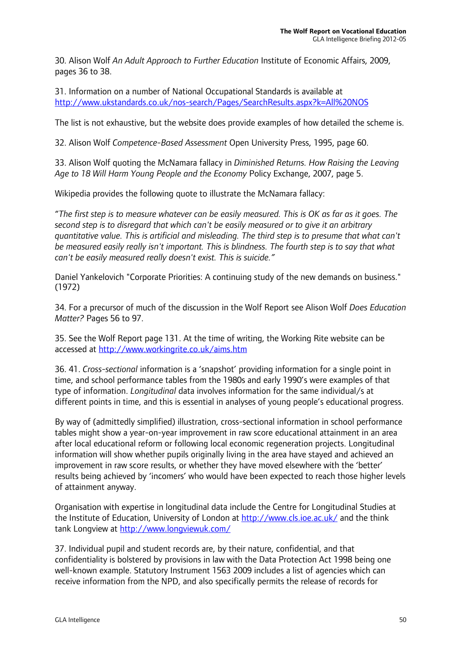30. Alison Wolf *An Adult Approach to Further Education* Institute of Economic Affairs, 2009, pages 36 to 38.

31. Information on a number of National Occupational Standards is available at http://www.ukstandards.co.uk/nos-search/Pages/SearchResults.aspx?k=All%20NOS

The list is not exhaustive, but the website does provide examples of how detailed the scheme is.

32. Alison Wolf *Competence-Based Assessment* Open University Press, 1995, page 60.

33. Alison Wolf quoting the McNamara fallacy in *Diminished Returns. How Raising the Leaving Age to 18 Will Harm Young People and the Economy* Policy Exchange, 2007, page 5.

Wikipedia provides the following quote to illustrate the McNamara fallacy:

"*The first step is to measure whatever can be easily measured. This is OK as far as it goes. The second step is to disregard that which can't be easily measured or to give it an arbitrary quantitative value. This is artificial and misleading. The third step is to presume that what can't be measured easily really isn't important. This is blindness. The fourth step is to say that what can't be easily measured really doesn't exist. This is suicide."* 

Daniel Yankelovich "Corporate Priorities: A continuing study of the new demands on business." (1972)

34. For a precursor of much of the discussion in the Wolf Report see Alison Wolf *Does Education Matter?* Pages 56 to 97.

35. See the Wolf Report page 131. At the time of writing, the Working Rite website can be accessed at http://www.workingrite.co.uk/aims.htm

36. 41. *Cross-sectional* information is a 'snapshot' providing information for a single point in time, and school performance tables from the 1980s and early 1990's were examples of that type of information. *Longitudinal* data involves information for the same individual/s at different points in time, and this is essential in analyses of young people's educational progress.

By way of (admittedly simplified) illustration, cross-sectional information in school performance tables might show a year-on-year improvement in raw score educational attainment in an area after local educational reform or following local economic regeneration projects. Longitudinal information will show whether pupils originally living in the area have stayed and achieved an improvement in raw score results, or whether they have moved elsewhere with the 'better' results being achieved by 'incomers' who would have been expected to reach those higher levels of attainment anyway.

Organisation with expertise in longitudinal data include the Centre for Longitudinal Studies at the Institute of Education, University of London at http://www.cls.ioe.ac.uk/ and the think tank Longview at http://www.longviewuk.com/

37. Individual pupil and student records are, by their nature, confidential, and that confidentiality is bolstered by provisions in law with the Data Protection Act 1998 being one well-known example. Statutory Instrument 1563 2009 includes a list of agencies which can receive information from the NPD, and also specifically permits the release of records for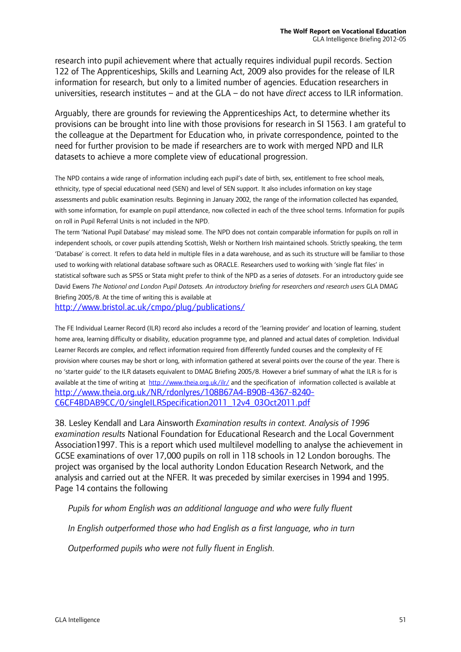research into pupil achievement where that actually requires individual pupil records. Section 122 of The Apprenticeships, Skills and Learning Act, 2009 also provides for the release of ILR information for research, but only to a limited number of agencies. Education researchers in universities, research institutes – and at the GLA – do not have *direct* access to ILR information.

Arguably, there are grounds for reviewing the Apprenticeships Act, to determine whether its provisions can be brought into line with those provisions for research in SI 1563. I am grateful to the colleague at the Department for Education who, in private correspondence, pointed to the need for further provision to be made if researchers are to work with merged NPD and ILR datasets to achieve a more complete view of educational progression.

The NPD contains a wide range of information including each pupil's date of birth, sex, entitlement to free school meals, ethnicity, type of special educational need (SEN) and level of SEN support. It also includes information on key stage assessments and public examination results. Beginning in January 2002, the range of the information collected has expanded, with some information, for example on pupil attendance, now collected in each of the three school terms. Information for pupils on roll in Pupil Referral Units is not included in the NPD.

The term 'National Pupil Database' may mislead some. The NPD does not contain comparable information for pupils on roll in independent schools, or cover pupils attending Scottish, Welsh or Northern Irish maintained schools. Strictly speaking, the term 'Database' is correct. It refers to data held in multiple files in a data warehouse, and as such its structure will be familiar to those used to working with relational database software such as ORACLE. Researchers used to working with 'single flat files' in statistical software such as SPSS or Stata might prefer to think of the NPD as a series of *datasets*. For an introductory guide see David Ewens *The National and London Pupil Datasets. An introductory briefing for researchers and research users* GLA DMAG Briefing 2005/8. At the time of writing this is available at

http://www.bristol.ac.uk/cmpo/plug/publications/

The FE Individual Learner Record (ILR) record also includes a record of the 'learning provider' and location of learning, student home area, learning difficulty or disability, education programme type, and planned and actual dates of completion. Individual Learner Records are complex, and reflect information required from differently funded courses and the complexity of FE provision where courses may be short or long, with information gathered at several points over the course of the year. There is no 'starter guide' to the ILR datasets equivalent to DMAG Briefing 2005/8. However a brief summary of what the ILR is for is available at the time of writing at http://www.theia.org.uk/ilr/ and the specification of information collected is available at http://www.theia.org.uk/NR/rdonlyres/108B67A4-B90B-4367-8240- C6CF4BDAB9CC/0/singleILRSpecification2011\_12v4\_03Oct2011.pdf

38. Lesley Kendall and Lara Ainsworth *Examination results in context. Analysis of 1996 examination results* National Foundation for Educational Research and the Local Government Association1997. This is a report which used multilevel modelling to analyse the achievement in GCSE examinations of over 17,000 pupils on roll in 118 schools in 12 London boroughs. The project was organised by the local authority London Education Research Network, and the analysis and carried out at the NFER. It was preceded by similar exercises in 1994 and 1995. Page 14 contains the following

*Pupils for whom English was an additional language and who were fully fluent* 

 *In English outperformed those who had English as a first language, who in turn* 

 *Outperformed pupils who were not fully fluent in English.*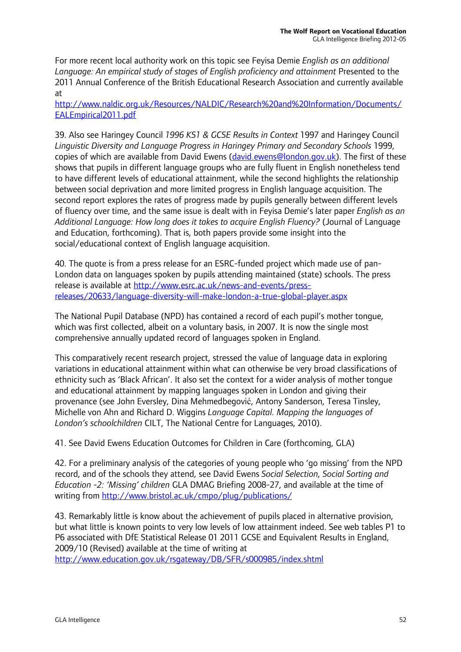For more recent local authority work on this topic see Feyisa Demie *English as an additional*  Language: An empirical study of stages of English proficiency and attainment Presented to the 2011 Annual Conference of the British Educational Research Association and currently available at

http://www.naldic.org.uk/Resources/NALDIC/Research%20and%20Information/Documents/ EALEmpirical2011.pdf

39. Also see Haringey Council *1996 KS1 & GCSE Results in Context* 1997 and Haringey Council *Linguistic Diversity and Language Progress in Haringey Primary and Secondary Schools* 1999, copies of which are available from David Ewens (david.ewens@london.gov.uk). The first of these shows that pupils in different language groups who are fully fluent in English nonetheless tend to have different levels of educational attainment, while the second highlights the relationship between social deprivation and more limited progress in English language acquisition. The second report explores the rates of progress made by pupils generally between different levels of fluency over time, and the same issue is dealt with in Feyisa Demie's later paper *English as an Additional Language: How long does it takes to acquire English Fluency?* (Journal of Language and Education, forthcoming). That is, both papers provide some insight into the social/educational context of English language acquisition.

40. The quote is from a press release for an ESRC-funded project which made use of pan-London data on languages spoken by pupils attending maintained (state) schools. The press release is available at http://www.esrc.ac.uk/news-and-events/pressreleases/20633/language-diversity-will-make-london-a-true-global-player.aspx

The National Pupil Database (NPD) has contained a record of each pupil's mother tongue, which was first collected, albeit on a voluntary basis, in 2007. It is now the single most comprehensive annually updated record of languages spoken in England.

This comparatively recent research project, stressed the value of language data in exploring variations in educational attainment within what can otherwise be very broad classifications of ethnicity such as 'Black African'. It also set the context for a wider analysis of mother tongue and educational attainment by mapping languages spoken in London and giving their provenance (see John Eversley, Dina Mehmedbegović, Antony Sanderson, Teresa Tinsley, Michelle von Ahn and Richard D. Wiggins *Language Capital. Mapping the languages of London's schoolchildren* CILT, The National Centre for Languages, 2010).

41. See David Ewens Education Outcomes for Children in Care (forthcoming, GLA)

42. For a preliminary analysis of the categories of young people who 'go missing' from the NPD record, and of the schools they attend, see David Ewens *Social Selection, Social Sorting and Education -2: 'Missing' children* GLA DMAG Briefing 2008-27, and available at the time of writing from http://www.bristol.ac.uk/cmpo/plug/publications/

43. Remarkably little is know about the achievement of pupils placed in alternative provision, but what little is known points to very low levels of low attainment indeed. See web tables P1 to P6 associated with DfE Statistical Release 01 2011 GCSE and Equivalent Results in England, 2009/10 (Revised) available at the time of writing at

http://www.education.gov.uk/rsgateway/DB/SFR/s000985/index.shtml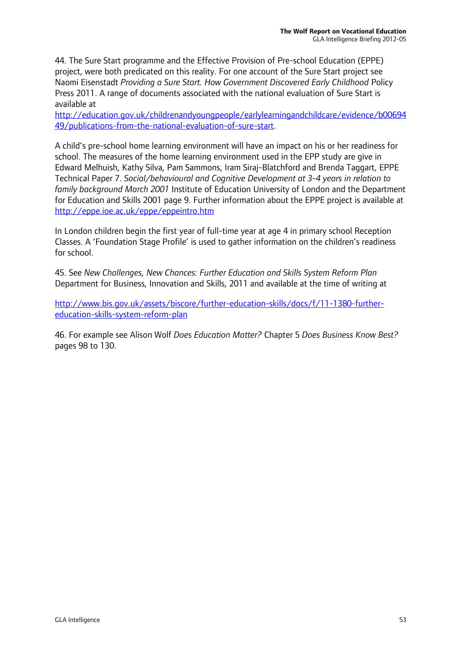44. The Sure Start programme and the Effective Provision of Pre-school Education (EPPE) project, were both predicated on this reality. For one account of the Sure Start project see Naomi Eisenstadt *Providing a Sure Start. How Government Discovered Early Childhood* Policy Press 2011. A range of documents associated with the national evaluation of Sure Start is available at

http://education.gov.uk/childrenandyoungpeople/earlylearningandchildcare/evidence/b00694 49/publications-from-the-national-evaluation-of-sure-start.

A child's pre-school home learning environment will have an impact on his or her readiness for school. The measures of the home learning environment used in the EPP study are give in Edward Melhuish, Kathy Silva, Pam Sammons, Iram Siraj-Blatchford and Brenda Taggart, EPPE Technical Paper 7. *Social/behavioural and Cognitive Development at 3-4 years in relation to family background March 2001* Institute of Education University of London and the Department for Education and Skills 2001 page 9. Further information about the EPPE project is available at http://eppe.ioe.ac.uk/eppe/eppeintro.htm

In London children begin the first year of full-time year at age 4 in primary school Reception Classes. A 'Foundation Stage Profile' is used to gather information on the children's readiness for school.

45. See *New Challenges, New Chances: Further Education and Skills System Reform Plan*  Department for Business, Innovation and Skills, 2011 and available at the time of writing at

http://www.bis.gov.uk/assets/biscore/further-education-skills/docs/f/11-1380-furthereducation-skills-system-reform-plan

46. For example see Alison Wolf *Does Education Matter?* Chapter 5 *Does Business Know Best?*  pages 98 to 130.